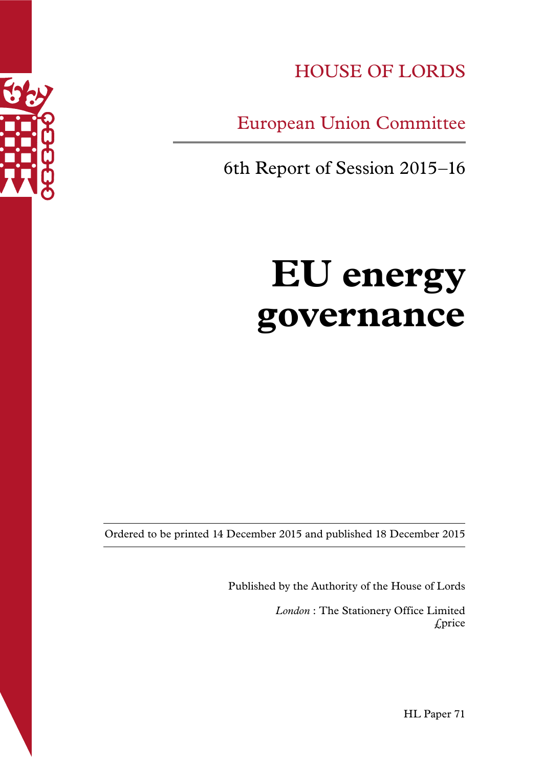

HOUSE OF LORDS

European Union Committee

6th Report of Session 2015–16

# **EU energy governance**

Ordered to be printed 14 December 2015 and published 18 December 2015

Published by the Authority of the House of Lords

*London* : The Stationery Office Limited £price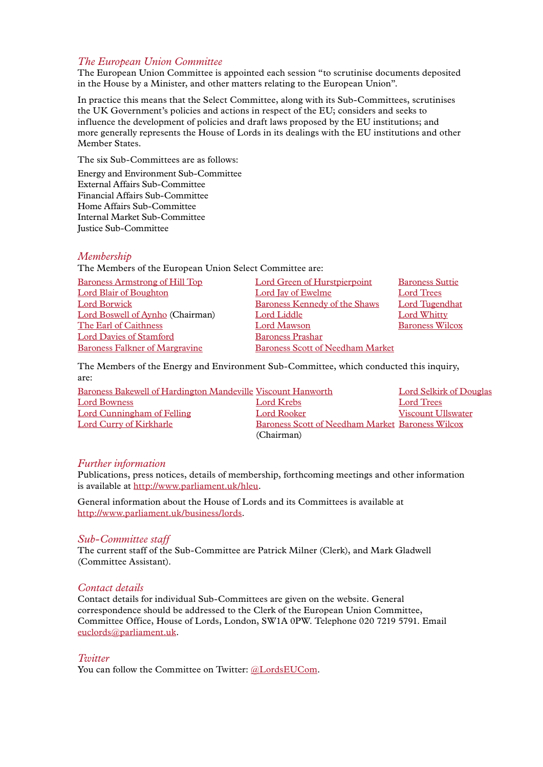#### *The European Union Committee*

The European Union Committee is appointed each session "to scrutinise documents deposited in the House by a Minister, and other matters relating to the European Union".

In practice this means that the Select Committee, along with its Sub-Committees, scrutinises the UK Government's policies and actions in respect of the EU; considers and seeks to influence the development of policies and draft laws proposed by the EU institutions; and more generally represents the House of Lords in its dealings with the EU institutions and other Member States.

The six Sub-Committees are as follows:

Energy and Environment Sub-Committee External Affairs Sub-Committee Financial Affairs Sub-Committee Home Affairs Sub-Committee Internal Market Sub-Committee Justice Sub-Committee

#### *Membership*

The Members of the European Union Select Committee are:

| <b>Baroness Armstrong of Hill Top</b>   | <b>Lord Green of Hurstpierpoint</b>     |
|-----------------------------------------|-----------------------------------------|
| Lord Blair of Boughton                  | Lord Jay of Ewelme                      |
| <b>Lord Borwick</b>                     | <b>Baroness Kennedy of the Shaws</b>    |
| <b>Lord Boswell of Aynho</b> (Chairman) | Lord Liddle                             |
| The Earl of Caithness                   | Lord Mawson                             |
| <b>Lord Davies of Stamford</b>          | <b>Baroness Prashar</b>                 |
| Baroness Falkner of Margravine          | <b>Baroness Scott of Needham Market</b> |
|                                         |                                         |

[Baroness Suttie](http://www.parliament.uk/biographies/lords/baroness-suttie/4298) [Lord Trees](http://www.parliament.uk/biographies/lords/lord-trees/4260) s [Lord Tugendhat](http://www.parliament.uk/biographies/lords/lord-tugendhat/1705) [Lord Whitty](http://www.parliament.uk/biographies/lords/lord-whitty/2444) [Baroness Wilcox](http://www.parliament.uk/biographies/lords/baroness-wilcox/1727)

The Members of the Energy and Environment Sub-Committee, which conducted this inquiry, are:

| <b>Baroness Bakewell of Hardington Mandeville Viscount Hanworth</b> |                                                         | Lord Selkirk of Douglas |
|---------------------------------------------------------------------|---------------------------------------------------------|-------------------------|
| <b>Lord Bowness</b>                                                 | Lord Krebs                                              | Lord Trees              |
| <b>Lord Cunningham of Felling</b>                                   | Lord Rooker                                             | Viscount Ullswater      |
| Lord Curry of Kirkharle                                             | <b>Baroness Scott of Needham Market Baroness Wilcox</b> |                         |
|                                                                     | (Chairman)                                              |                         |

#### *Further information*

Publications, press notices, details of membership, forthcoming meetings and other information is available at<http://www.parliament.uk/hleu>.

General information about the House of Lords and its Committees is available at [http://www.parliament.uk/business/lords](http://www.parliament.uk/business/lords/).

#### *Sub-Committee staff*

The current staff of the Sub-Committee are Patrick Milner (Clerk), and Mark Gladwell (Committee Assistant).

#### *Contact details*

Contact details for individual Sub-Committees are given on the website. General correspondence should be addressed to the Clerk of the European Union Committee, Committee Office, House of Lords, London, SW1A 0PW. Telephone 020 7219 5791. Email [euclords@parliament.uk](mailto:euclords@parliament.uk).

#### *Twitter*

You can follow the Committee on Twitter: [@LordsEUCom](http://www.twitter.com/lordseucom).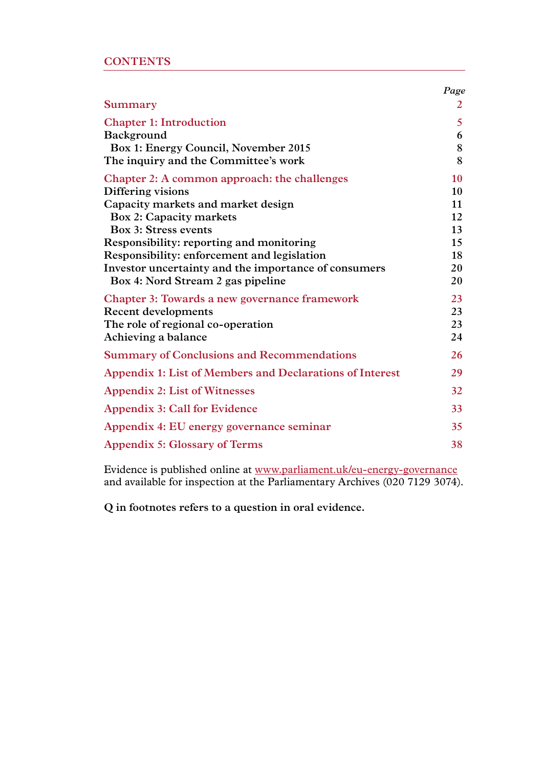|  | <b>CONTENTS</b> |  |
|--|-----------------|--|
|  |                 |  |

|                                                          | Page |
|----------------------------------------------------------|------|
| <b>Summary</b>                                           | 2    |
| <b>Chapter 1: Introduction</b>                           | 5    |
| Background                                               | 6    |
| Box 1: Energy Council, November 2015                     | 8    |
| The inquiry and the Committee's work                     | 8    |
| Chapter 2: A common approach: the challenges             | 10   |
| Differing visions                                        | 10   |
| Capacity markets and market design                       | 11   |
| Box 2: Capacity markets                                  | 12   |
| <b>Box 3: Stress events</b>                              | 13   |
| Responsibility: reporting and monitoring                 | 15   |
| Responsibility: enforcement and legislation              | 18   |
| Investor uncertainty and the importance of consumers     | 20   |
| Box 4: Nord Stream 2 gas pipeline                        | 20   |
| Chapter 3: Towards a new governance framework            | 23   |
| <b>Recent developments</b>                               | 23   |
| The role of regional co-operation                        | 23   |
| Achieving a balance                                      | 24   |
| <b>Summary of Conclusions and Recommendations</b>        | 26   |
| Appendix 1: List of Members and Declarations of Interest | 29   |
| <b>Appendix 2: List of Witnesses</b>                     | 32   |
| <b>Appendix 3: Call for Evidence</b>                     | 33   |
| Appendix 4: EU energy governance seminar                 | 35   |
| <b>Appendix 5: Glossary of Terms</b>                     | 38   |

Evidence is published online at [www.parliament.uk/eu-energy-governance](http://www.parliament.uk/eu-energy-governance) and available for inspection at the Parliamentary Archives (020 7129 3074).

**Q in footnotes refers to a question in oral evidence.**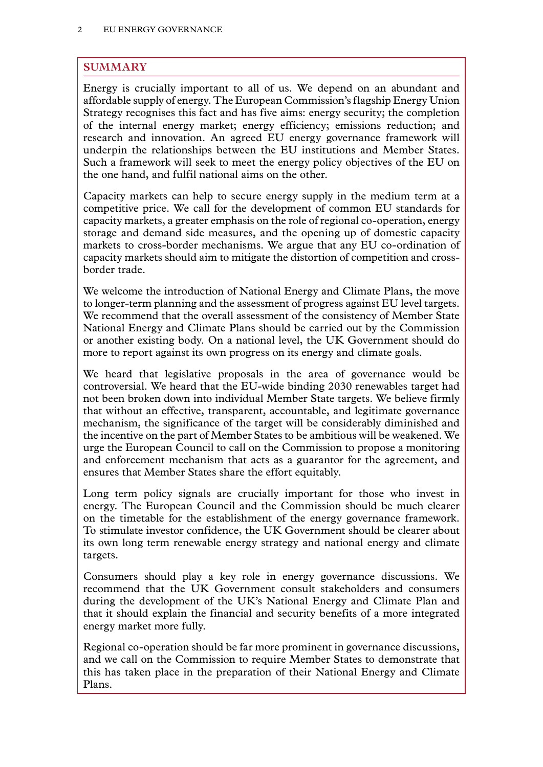# <span id="page-3-0"></span>**SUMMARY**

Energy is crucially important to all of us. We depend on an abundant and affordable supply of energy. The European Commission's flagship Energy Union Strategy recognises this fact and has five aims: energy security; the completion of the internal energy market; energy efficiency; emissions reduction; and research and innovation. An agreed EU energy governance framework will underpin the relationships between the EU institutions and Member States. Such a framework will seek to meet the energy policy objectives of the EU on the one hand, and fulfil national aims on the other.

Capacity markets can help to secure energy supply in the medium term at a competitive price. We call for the development of common EU standards for capacity markets, a greater emphasis on the role of regional co-operation, energy storage and demand side measures, and the opening up of domestic capacity markets to cross-border mechanisms. We argue that any EU co-ordination of capacity markets should aim to mitigate the distortion of competition and crossborder trade.

We welcome the introduction of National Energy and Climate Plans, the move to longer-term planning and the assessment of progress against EU level targets. We recommend that the overall assessment of the consistency of Member State National Energy and Climate Plans should be carried out by the Commission or another existing body. On a national level, the UK Government should do more to report against its own progress on its energy and climate goals.

We heard that legislative proposals in the area of governance would be controversial. We heard that the EU-wide binding 2030 renewables target had not been broken down into individual Member State targets. We believe firmly that without an effective, transparent, accountable, and legitimate governance mechanism, the significance of the target will be considerably diminished and the incentive on the part of Member States to be ambitious will be weakened. We urge the European Council to call on the Commission to propose a monitoring and enforcement mechanism that acts as a guarantor for the agreement, and ensures that Member States share the effort equitably.

Long term policy signals are crucially important for those who invest in energy. The European Council and the Commission should be much clearer on the timetable for the establishment of the energy governance framework. To stimulate investor confidence, the UK Government should be clearer about its own long term renewable energy strategy and national energy and climate targets.

Consumers should play a key role in energy governance discussions. We recommend that the UK Government consult stakeholders and consumers during the development of the UK's National Energy and Climate Plan and that it should explain the financial and security benefits of a more integrated energy market more fully.

Regional co-operation should be far more prominent in governance discussions, and we call on the Commission to require Member States to demonstrate that this has taken place in the preparation of their National Energy and Climate Plans.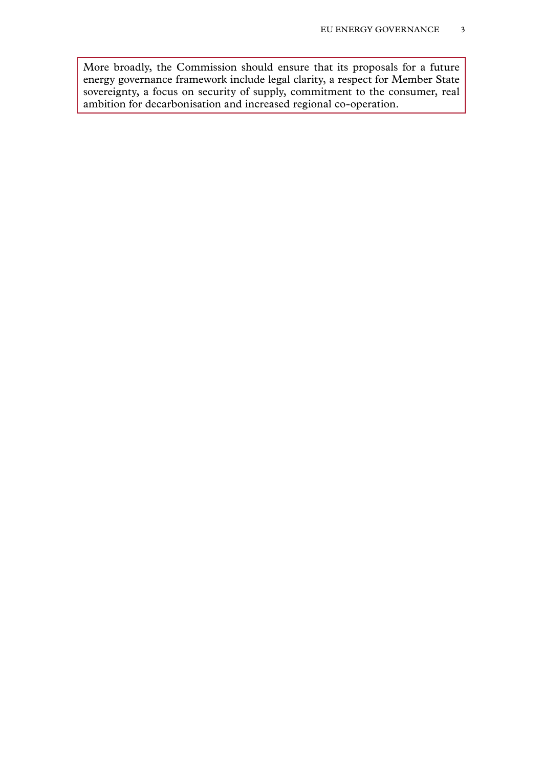More broadly, the Commission should ensure that its proposals for a future energy governance framework include legal clarity, a respect for Member State sovereignty, a focus on security of supply, commitment to the consumer, real ambition for decarbonisation and increased regional co-operation.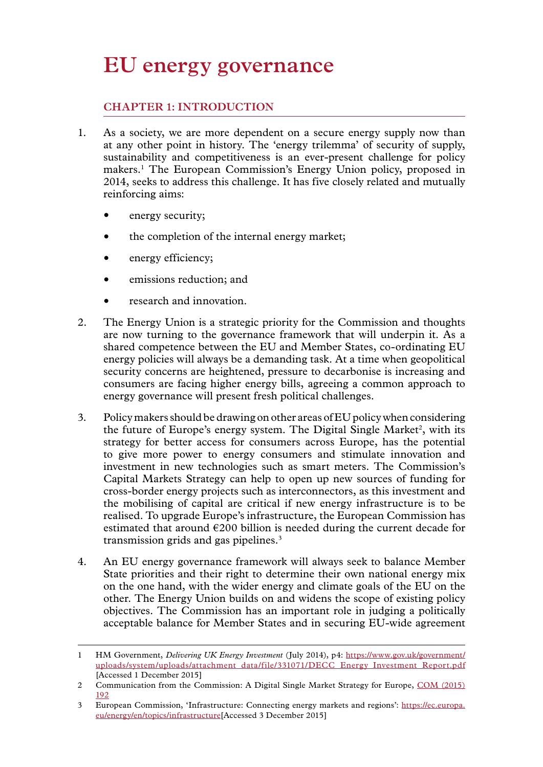# <span id="page-6-0"></span>**EU energy governance**

# **Chapter 1: INTRODUCTION**

- 1. As a society, we are more dependent on a secure energy supply now than at any other point in history. The 'energy trilemma' of security of supply, sustainability and competitiveness is an ever-present challenge for policy makers.1 The European Commission's Energy Union policy, proposed in 2014, seeks to address this challenge. It has five closely related and mutually reinforcing aims:
	- energy security;
	- the completion of the internal energy market;
	- energy efficiency;
	- emissions reduction; and
	- research and innovation.
- 2. The Energy Union is a strategic priority for the Commission and thoughts are now turning to the governance framework that will underpin it. As a shared competence between the EU and Member States, co-ordinating EU energy policies will always be a demanding task. At a time when geopolitical security concerns are heightened, pressure to decarbonise is increasing and consumers are facing higher energy bills, agreeing a common approach to energy governance will present fresh political challenges.
- 3. Policy makers should be drawing on other areas of EU policy when considering the future of Europe's energy system. The Digital Single Market<sup>2</sup>, with its strategy for better access for consumers across Europe, has the potential to give more power to energy consumers and stimulate innovation and investment in new technologies such as smart meters. The Commission's Capital Markets Strategy can help to open up new sources of funding for cross-border energy projects such as interconnectors, as this investment and the mobilising of capital are critical if new energy infrastructure is to be realised. To upgrade Europe's infrastructure, the European Commission has estimated that around  $\epsilon$ 200 billion is needed during the current decade for transmission grids and gas pipelines.<sup>3</sup>
- 4. An EU energy governance framework will always seek to balance Member State priorities and their right to determine their own national energy mix on the one hand, with the wider energy and climate goals of the EU on the other. The Energy Union builds on and widens the scope of existing policy objectives. The Commission has an important role in judging a politically acceptable balance for Member States and in securing EU-wide agreement

<sup>1</sup> HM Government, *Delivering UK Energy Investment* (July 2014), p4: [https://www.gov.uk/government/](https://www.gov.uk/government/uploads/system/uploads/attachment_data/file/331071/DECC_Energy_Investment_Report.pdf) [uploads/system/uploads/attachment\\_data/file/331071/DECC\\_Energy\\_Investment\\_Report.pdf](https://www.gov.uk/government/uploads/system/uploads/attachment_data/file/331071/DECC_Energy_Investment_Report.pdf) [Accessed 1 December 2015]

<sup>2</sup> Communication from the Commission: A Digital Single Market Strategy for Europe, [COM \(2015\)](http://eur-lex.europa.eu/legal-content/EN/TXT/PDF/?uri=CELEX:52015DC0192&from=EN) [192](http://eur-lex.europa.eu/legal-content/EN/TXT/PDF/?uri=CELEX:52015DC0192&from=EN)

<sup>3</sup> European Commission, 'Infrastructure: Connecting energy markets and regions': [https://ec.europa.](https://ec.europa.eu/energy/en/topics/infrastructure) [eu/energy/en/topics/infrastructure\[](https://ec.europa.eu/energy/en/topics/infrastructure)Accessed 3 December 2015]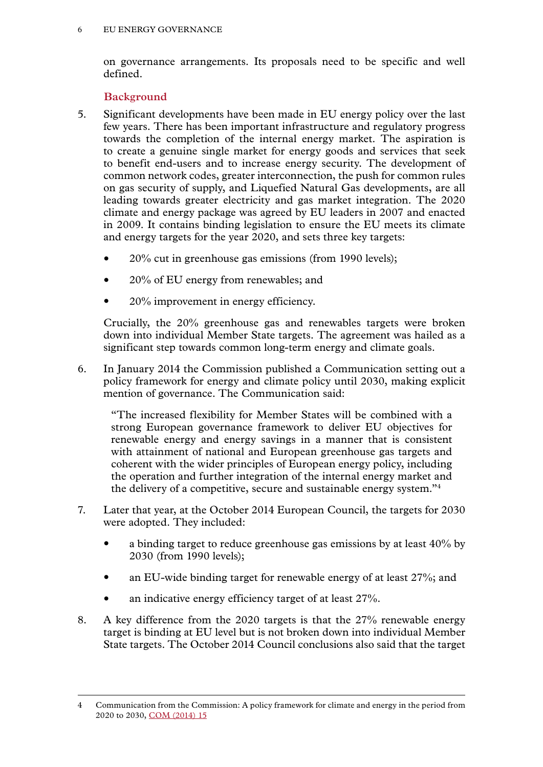<span id="page-7-0"></span>on governance arrangements. Its proposals need to be specific and well defined.

#### **Background**

- 5. Significant developments have been made in EU energy policy over the last few years. There has been important infrastructure and regulatory progress towards the completion of the internal energy market. The aspiration is to create a genuine single market for energy goods and services that seek to benefit end-users and to increase energy security. The development of common network codes, greater interconnection, the push for common rules on gas security of supply, and Liquefied Natural Gas developments, are all leading towards greater electricity and gas market integration. The 2020 climate and energy package was agreed by EU leaders in 2007 and enacted in 2009. It contains binding legislation to ensure the EU meets its climate and energy targets for the year 2020, and sets three key targets:
	- 20% cut in greenhouse gas emissions (from 1990 levels);
	- 20% of EU energy from renewables; and
	- 20% improvement in energy efficiency.

Crucially, the 20% greenhouse gas and renewables targets were broken down into individual Member State targets. The agreement was hailed as a significant step towards common long-term energy and climate goals.

6. In January 2014 the Commission published a Communication setting out a policy framework for energy and climate policy until 2030, making explicit mention of governance. The Communication said:

"The increased flexibility for Member States will be combined with a strong European governance framework to deliver EU objectives for renewable energy and energy savings in a manner that is consistent with attainment of national and European greenhouse gas targets and coherent with the wider principles of European energy policy, including the operation and further integration of the internal energy market and the delivery of a competitive, secure and sustainable energy system."4

- 7. Later that year, at the October 2014 European Council, the targets for 2030 were adopted. They included:
	- a binding target to reduce greenhouse gas emissions by at least 40% by 2030 (from 1990 levels);
	- an EU-wide binding target for renewable energy of at least 27%; and
	- an indicative energy efficiency target of at least 27%.
- 8. A key difference from the 2020 targets is that the 27% renewable energy target is binding at EU level but is not broken down into individual Member State targets. The October 2014 Council conclusions also said that the target

<sup>4</sup> Communication from the Commission: A policy framework for climate and energy in the period from 2020 to 2030, [COM \(2014\) 15](http://eur-lex.europa.eu/LexUriServ/LexUriServ.do?uri=COM:2014:0015:FIN:EN:PDF)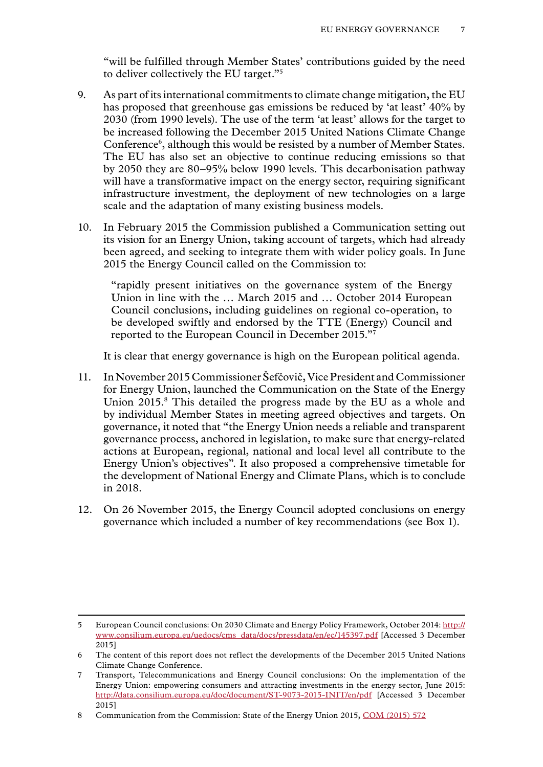"will be fulfilled through Member States' contributions guided by the need to deliver collectively the EU target."5

- 9. As part of its international commitments to climate change mitigation, the EU has proposed that greenhouse gas emissions be reduced by 'at least' 40% by 2030 (from 1990 levels). The use of the term 'at least' allows for the target to be increased following the December 2015 United Nations Climate Change Conference<sup>6</sup>, although this would be resisted by a number of Member States. The EU has also set an objective to continue reducing emissions so that by 2050 they are 80–95% below 1990 levels. This decarbonisation pathway will have a transformative impact on the energy sector, requiring significant infrastructure investment, the deployment of new technologies on a large scale and the adaptation of many existing business models.
- 10. In February 2015 the Commission published a Communication setting out its vision for an Energy Union, taking account of targets, which had already been agreed, and seeking to integrate them with wider policy goals. In June 2015 the Energy Council called on the Commission to:

"rapidly present initiatives on the governance system of the Energy Union in line with the … March 2015 and … October 2014 European Council conclusions, including guidelines on regional co-operation, to be developed swiftly and endorsed by the TTE (Energy) Council and reported to the European Council in December 2015."7

It is clear that energy governance is high on the European political agenda.

- 11. In November 2015 Commissioner Šefčovič, Vice President and Commissioner for Energy Union, launched the Communication on the State of the Energy Union 2015.<sup>8</sup> This detailed the progress made by the EU as a whole and by individual Member States in meeting agreed objectives and targets. On governance, it noted that "the Energy Union needs a reliable and transparent governance process, anchored in legislation, to make sure that energy-related actions at European, regional, national and local level all contribute to the Energy Union's objectives". It also proposed a comprehensive timetable for the development of National Energy and Climate Plans, which is to conclude in 2018.
- 12. On 26 November 2015, the Energy Council adopted conclusions on energy governance which included a number of key recommendations (see Box 1).

<sup>5</sup> European Council conclusions: On 2030 Climate and Energy Policy Framework, October 2014: [http://](http://www.consilium.europa.eu/uedocs/cms_data/docs/pressdata/en/ec/145397.pdf) [www.consilium.europa.eu/uedocs/cms\\_data/docs/pressdata/en/ec/145397.pdf](http://www.consilium.europa.eu/uedocs/cms_data/docs/pressdata/en/ec/145397.pdf) [Accessed 3 December 2015]

<sup>6</sup> The content of this report does not reflect the developments of the December 2015 United Nations Climate Change Conference.

<sup>7</sup> Transport, Telecommunications and Energy Council conclusions: On the implementation of the Energy Union: empowering consumers and attracting investments in the energy sector, June 2015: <http://data.consilium.europa.eu/doc/document/ST-9073-2015-INIT/en/pdf> [Accessed 3 December 2015]

<sup>8</sup> Communication from the Commission: State of the Energy Union 2015, [COM \(2015\) 572](https://ec.europa.eu/transparency/regdoc/rep/1/2015/EN/1-2015-572-EN-F1-1.PDF)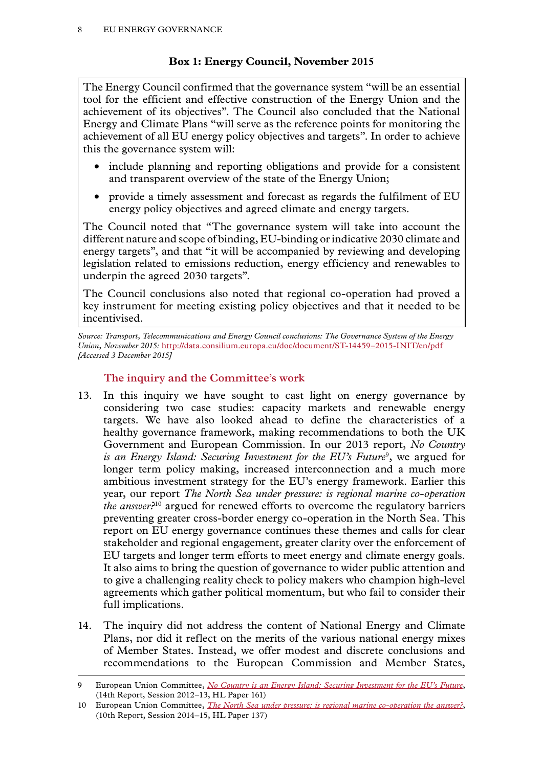# **Box 1: Energy Council, November 2015**

<span id="page-9-0"></span>The Energy Council confirmed that the governance system "will be an essential tool for the efficient and effective construction of the Energy Union and the achievement of its objectives". The Council also concluded that the National Energy and Climate Plans "will serve as the reference points for monitoring the achievement of all EU energy policy objectives and targets". In order to achieve this the governance system will:

- include planning and reporting obligations and provide for a consistent and transparent overview of the state of the Energy Union;
- provide a timely assessment and forecast as regards the fulfilment of EU energy policy objectives and agreed climate and energy targets.

The Council noted that "The governance system will take into account the different nature and scope of binding, EU-binding or indicative 2030 climate and energy targets", and that "it will be accompanied by reviewing and developing legislation related to emissions reduction, energy efficiency and renewables to underpin the agreed 2030 targets".

The Council conclusions also noted that regional co-operation had proved a key instrument for meeting existing policy objectives and that it needed to be incentivised.

*Source: Transport, Telecommunications and Energy Council conclusions: The Governance System of the Energy Union, November 2015:* [http://data.consilium.europa.eu/doc/document/ST-14459–2015-INIT/en/pdf](http://data.consilium.europa.eu/doc/document/ST-14459-2015-INIT/en/pdf) *[Accessed 3 December 2015]*

# **The inquiry and the Committee's work**

- 13. In this inquiry we have sought to cast light on energy governance by considering two case studies: capacity markets and renewable energy targets. We have also looked ahead to define the characteristics of a healthy governance framework, making recommendations to both the UK Government and European Commission. In our 2013 report, *No Country*  is an Energy Island: Securing Investment for the EU's Future<sup>9</sup>, we argued for longer term policy making, increased interconnection and a much more ambitious investment strategy for the EU's energy framework. Earlier this year, our report *The North Sea under pressure: is regional marine co-operation the answer?*10 argued for renewed efforts to overcome the regulatory barriers preventing greater cross-border energy co-operation in the North Sea. This report on EU energy governance continues these themes and calls for clear stakeholder and regional engagement, greater clarity over the enforcement of EU targets and longer term efforts to meet energy and climate energy goals. It also aims to bring the question of governance to wider public attention and to give a challenging reality check to policy makers who champion high-level agreements which gather political momentum, but who fail to consider their full implications.
- 14. The inquiry did not address the content of National Energy and Climate Plans, nor did it reflect on the merits of the various national energy mixes of Member States. Instead, we offer modest and discrete conclusions and recommendations to the European Commission and Member States,

<sup>9</sup> European Union Committee, *[No Country is an Energy Island: Securing Investment for the EU's Future](http://www.parliament.uk/documents/lords-committees/eu-sub-com-d/energy/euenergypolicyfinalreport.pdf)*, (14th Report, Session 2012–13, HL Paper 161)

<sup>10</sup> European Union Committee, *[The North Sea under pressure: is regional marine co-operation the answer?](http://www.publications.parliament.uk/pa/ld201415/ldselect/ldeucom/137/137.pdf)*, (10th Report, Session 2014–15, HL Paper 137)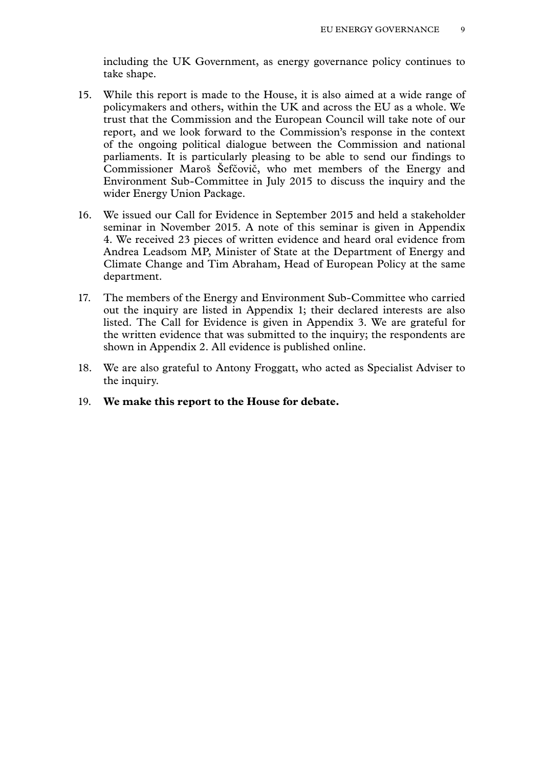including the UK Government, as energy governance policy continues to take shape.

- 15. While this report is made to the House, it is also aimed at a wide range of policymakers and others, within the UK and across the EU as a whole. We trust that the Commission and the European Council will take note of our report, and we look forward to the Commission's response in the context of the ongoing political dialogue between the Commission and national parliaments. It is particularly pleasing to be able to send our findings to Commissioner Maroš Šefčovič, who met members of the Energy and Environment Sub-Committee in July 2015 to discuss the inquiry and the wider Energy Union Package.
- 16. We issued our Call for Evidence in September 2015 and held a stakeholder seminar in November 2015. A note of this seminar is given in Appendix 4. We received 23 pieces of written evidence and heard oral evidence from Andrea Leadsom MP, Minister of State at the Department of Energy and Climate Change and Tim Abraham, Head of European Policy at the same department.
- 17. The members of the Energy and Environment Sub-Committee who carried out the inquiry are listed in Appendix 1; their declared interests are also listed. The Call for Evidence is given in Appendix 3. We are grateful for the written evidence that was submitted to the inquiry; the respondents are shown in Appendix 2. All evidence is published online.
- 18. We are also grateful to Antony Froggatt, who acted as Specialist Adviser to the inquiry.
- 19. **We make this report to the House for debate.**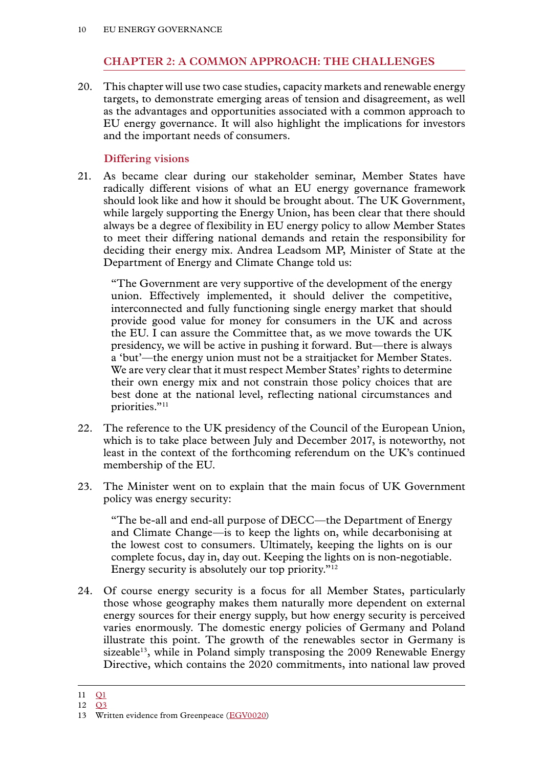# **Chapter 2: A COMMON APPROACH: THE CHALLENGES**

<span id="page-11-0"></span>20. This chapter will use two case studies, capacity markets and renewable energy targets, to demonstrate emerging areas of tension and disagreement, as well as the advantages and opportunities associated with a common approach to EU energy governance. It will also highlight the implications for investors and the important needs of consumers.

#### **Differing visions**

21. As became clear during our stakeholder seminar, Member States have radically different visions of what an EU energy governance framework should look like and how it should be brought about. The UK Government, while largely supporting the Energy Union, has been clear that there should always be a degree of flexibility in EU energy policy to allow Member States to meet their differing national demands and retain the responsibility for deciding their energy mix. Andrea Leadsom MP, Minister of State at the Department of Energy and Climate Change told us:

"The Government are very supportive of the development of the energy union. Effectively implemented, it should deliver the competitive, interconnected and fully functioning single energy market that should provide good value for money for consumers in the UK and across the EU. I can assure the Committee that, as we move towards the UK presidency, we will be active in pushing it forward. But—there is always a 'but'—the energy union must not be a straitjacket for Member States. We are very clear that it must respect Member States' rights to determine their own energy mix and not constrain those policy choices that are best done at the national level, reflecting national circumstances and priorities."<sup>11</sup>

- 22. The reference to the UK presidency of the Council of the European Union, which is to take place between July and December 2017, is noteworthy, not least in the context of the forthcoming referendum on the UK's continued membership of the EU.
- 23. The Minister went on to explain that the main focus of UK Government policy was energy security:

"The be-all and end-all purpose of DECC—the Department of Energy and Climate Change—is to keep the lights on, while decarbonising at the lowest cost to consumers. Ultimately, keeping the lights on is our complete focus, day in, day out. Keeping the lights on is non-negotiable. Energy security is absolutely our top priority."<sup>12</sup>

24. Of course energy security is a focus for all Member States, particularly those whose geography makes them naturally more dependent on external energy sources for their energy supply, but how energy security is perceived varies enormously. The domestic energy policies of Germany and Poland illustrate this point. The growth of the renewables sector in Germany is sizeable<sup>13</sup>, while in Poland simply transposing the  $2009$  Renewable Energy Directive, which contains the 2020 commitments, into national law proved

<sup>11</sup> [Q1](http://data.parliament.uk/writtenevidence/committeeevidence.svc/evidencedocument/eu-energy-and-environment-subcommittee/eu-energy-governance/oral/23813.html)

<sup>12</sup> [Q3](http://data.parliament.uk/writtenevidence/committeeevidence.svc/evidencedocument/eu-energy-and-environment-subcommittee/eu-energy-governance/oral/23813.html)

<sup>13</sup> Written evidence from Greenpeace ([EGV0020\)](http://data.parliament.uk/writtenevidence/committeeevidence.svc/evidencedocument/eu-energy-and-environment-subcommittee/eu-energy-governance/written/22568.html)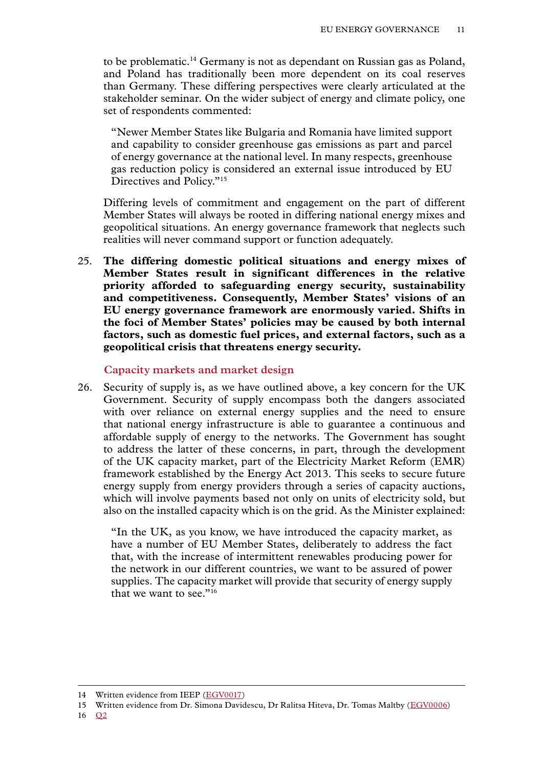<span id="page-12-0"></span>to be problematic.14 Germany is not as dependant on Russian gas as Poland, and Poland has traditionally been more dependent on its coal reserves than Germany. These differing perspectives were clearly articulated at the stakeholder seminar. On the wider subject of energy and climate policy, one set of respondents commented:

"Newer Member States like Bulgaria and Romania have limited support and capability to consider greenhouse gas emissions as part and parcel of energy governance at the national level. In many respects, greenhouse gas reduction policy is considered an external issue introduced by EU Directives and Policy."<sup>15</sup>

Differing levels of commitment and engagement on the part of different Member States will always be rooted in differing national energy mixes and geopolitical situations. An energy governance framework that neglects such realities will never command support or function adequately.

25. **The differing domestic political situations and energy mixes of Member States result in significant differences in the relative priority afforded to safeguarding energy security, sustainability and competitiveness. Consequently, Member States' visions of an EU energy governance framework are enormously varied. Shifts in the foci of Member States' policies may be caused by both internal factors, such as domestic fuel prices, and external factors, such as a geopolitical crisis that threatens energy security.**

#### **Capacity markets and market design**

26. Security of supply is, as we have outlined above, a key concern for the UK Government. Security of supply encompass both the dangers associated with over reliance on external energy supplies and the need to ensure that national energy infrastructure is able to guarantee a continuous and affordable supply of energy to the networks. The Government has sought to address the latter of these concerns, in part, through the development of the UK capacity market, part of the Electricity Market Reform (EMR) framework established by the Energy Act 2013. This seeks to secure future energy supply from energy providers through a series of capacity auctions, which will involve payments based not only on units of electricity sold, but also on the installed capacity which is on the grid. As the Minister explained:

"In the UK, as you know, we have introduced the capacity market, as have a number of EU Member States, deliberately to address the fact that, with the increase of intermittent renewables producing power for the network in our different countries, we want to be assured of power supplies. The capacity market will provide that security of energy supply that we want to see."16

<sup>14</sup> Written evidence from IEEP ([EGV0017](http://data.parliament.uk/writtenevidence/committeeevidence.svc/evidencedocument/eu-energy-and-environment-subcommittee/eu-energy-governance/written/22260.html))

<sup>15</sup> Written evidence from Dr. Simona Davidescu, Dr Ralitsa Hiteva, Dr. Tomas Maltby ([EGV0006\)](http://data.parliament.uk/writtenevidence/committeeevidence.svc/evidencedocument/eu-energy-and-environment-subcommittee/eu-energy-governance/written/22227.html)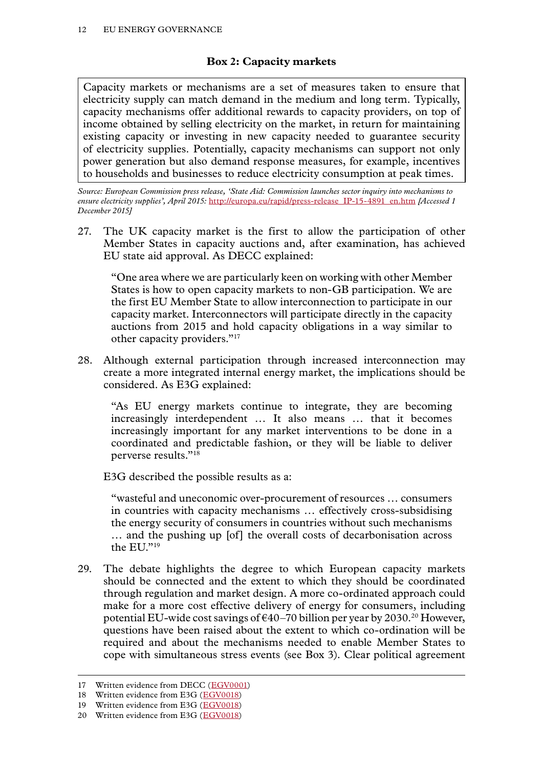# **Box 2: Capacity markets**

<span id="page-13-0"></span>Capacity markets or mechanisms are a set of measures taken to ensure that electricity supply can match demand in the medium and long term. Typically, capacity mechanisms offer additional rewards to capacity providers, on top of income obtained by selling electricity on the market, in return for maintaining existing capacity or investing in new capacity needed to guarantee security of electricity supplies. Potentially, capacity mechanisms can support not only power generation but also demand response measures, for example, incentives to households and businesses to reduce electricity consumption at peak times.

*Source: European Commission press release, 'State Aid: Commission launches sector inquiry into mechanisms to ensure electricity supplies', April 2015:* [http://europa.eu/rapid/press-release\\_IP-15-4891\\_en.htm](http://europa.eu/rapid/press-release_IP-15-4891_en.htm) *[Accessed 1 December 2015]*

27. The UK capacity market is the first to allow the participation of other Member States in capacity auctions and, after examination, has achieved EU state aid approval. As DECC explained:

"One area where we are particularly keen on working with other Member States is how to open capacity markets to non-GB participation. We are the first EU Member State to allow interconnection to participate in our capacity market. Interconnectors will participate directly in the capacity auctions from 2015 and hold capacity obligations in a way similar to other capacity providers."17

28. Although external participation through increased interconnection may create a more integrated internal energy market, the implications should be considered. As E3G explained:

"As EU energy markets continue to integrate, they are becoming increasingly interdependent … It also means … that it becomes increasingly important for any market interventions to be done in a coordinated and predictable fashion, or they will be liable to deliver perverse results."18

E3G described the possible results as a:

"wasteful and uneconomic over-procurement of resources … consumers in countries with capacity mechanisms … effectively cross-subsidising the energy security of consumers in countries without such mechanisms … and the pushing up [of] the overall costs of decarbonisation across the EU."19

29. The debate highlights the degree to which European capacity markets should be connected and the extent to which they should be coordinated through regulation and market design. A more co-ordinated approach could make for a more cost effective delivery of energy for consumers, including potential EU-wide cost savings of  $\epsilon$ 40–70 billion per year by 2030.<sup>20</sup> However, questions have been raised about the extent to which co-ordination will be required and about the mechanisms needed to enable Member States to cope with simultaneous stress events (see Box 3). Clear political agreement

<sup>17</sup> Written evidence from DECC ([EGV0001](http://data.parliament.uk/writtenevidence/committeeevidence.svc/evidencedocument/eu-energy-and-environment-subcommittee/eu-energy-governance/written/22126.html))

<sup>18</sup> Written evidence from E3G ([EGV0018\)](http://data.parliament.uk/writtenevidence/committeeevidence.svc/evidencedocument/eu-energy-and-environment-subcommittee/eu-energy-governance/written/22275.html)<br>19 Written evidence from E3G (EGV0018)

Written evidence from E3G ([EGV0018\)](http://data.parliament.uk/writtenevidence/committeeevidence.svc/evidencedocument/eu-energy-and-environment-subcommittee/eu-energy-governance/written/22275.html)

<sup>20</sup> Written evidence from E3G ([EGV0018\)](http://data.parliament.uk/writtenevidence/committeeevidence.svc/evidencedocument/eu-energy-and-environment-subcommittee/eu-energy-governance/written/22275.html)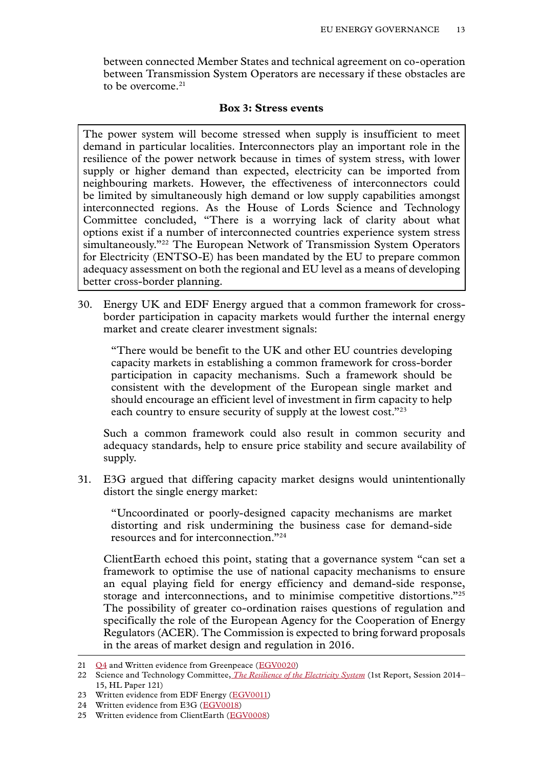<span id="page-14-0"></span>between connected Member States and technical agreement on co-operation between Transmission System Operators are necessary if these obstacles are to be overcome.<sup>21</sup>

#### **Box 3: Stress events**

The power system will become stressed when supply is insufficient to meet demand in particular localities. Interconnectors play an important role in the resilience of the power network because in times of system stress, with lower supply or higher demand than expected, electricity can be imported from neighbouring markets. However, the effectiveness of interconnectors could be limited by simultaneously high demand or low supply capabilities amongst interconnected regions. As the House of Lords Science and Technology Committee concluded, "There is a worrying lack of clarity about what options exist if a number of interconnected countries experience system stress simultaneously."<sup>22</sup> The European Network of Transmission System Operators for Electricity (ENTSO-E) has been mandated by the EU to prepare common adequacy assessment on both the regional and EU level as a means of developing better cross-border planning.

30. Energy UK and EDF Energy argued that a common framework for crossborder participation in capacity markets would further the internal energy market and create clearer investment signals:

"There would be benefit to the UK and other EU countries developing capacity markets in establishing a common framework for cross-border participation in capacity mechanisms. Such a framework should be consistent with the development of the European single market and should encourage an efficient level of investment in firm capacity to help each country to ensure security of supply at the lowest cost."<sup>23</sup>

Such a common framework could also result in common security and adequacy standards, help to ensure price stability and secure availability of supply.

31. E3G argued that differing capacity market designs would unintentionally distort the single energy market:

"Uncoordinated or poorly-designed capacity mechanisms are market distorting and risk undermining the business case for demand-side resources and for interconnection."24

ClientEarth echoed this point, stating that a governance system "can set a framework to optimise the use of national capacity mechanisms to ensure an equal playing field for energy efficiency and demand-side response, storage and interconnections, and to minimise competitive distortions."25 The possibility of greater co-ordination raises questions of regulation and specifically the role of the European Agency for the Cooperation of Energy Regulators (ACER). The Commission is expected to bring forward proposals in the areas of market design and regulation in 2016.

<sup>21</sup> [Q4](http://data.parliament.uk/writtenevidence/committeeevidence.svc/evidencedocument/eu-energy-and-environment-subcommittee/eu-energy-governance/oral/23813.html) and Written evidence from Greenpeace ([EGV0020](http://data.parliament.uk/writtenevidence/committeeevidence.svc/evidencedocument/eu-energy-and-environment-subcommittee/eu-energy-governance/written/22568.html))

<sup>22</sup> Science and Technology Committee, *[The Resilience of the Electricity System](http://www.publications.parliament.uk/pa/ld201415/ldselect/ldsctech/121/121.pdf)* (1st Report, Session 2014– 15, HL Paper 121)

<sup>23</sup> Written evidence from EDF Energy ([EGV0011](http://data.parliament.uk/writtenevidence/committeeevidence.svc/evidencedocument/eu-energy-and-environment-subcommittee/eu-energy-governance/written/22243.html))

<sup>24</sup> Written evidence from E3G ([EGV0018\)](http://data.parliament.uk/writtenevidence/committeeevidence.svc/evidencedocument/eu-energy-and-environment-subcommittee/eu-energy-governance/written/22275.html)

<sup>25</sup> Written evidence from ClientEarth ([EGV0008](http://data.parliament.uk/writtenevidence/committeeevidence.svc/evidencedocument/eu-energy-and-environment-subcommittee/eu-energy-governance/written/22239.html))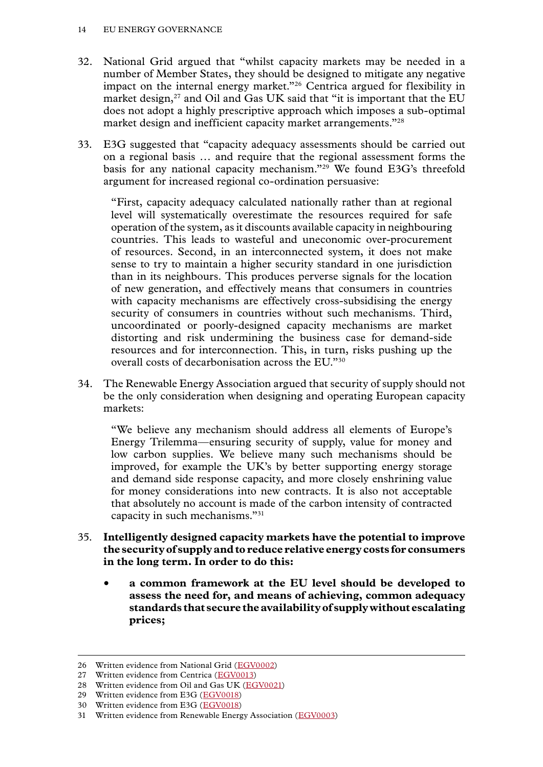- 32. National Grid argued that "whilst capacity markets may be needed in a number of Member States, they should be designed to mitigate any negative impact on the internal energy market."26 Centrica argued for flexibility in market design, $27$  and Oil and Gas UK said that "it is important that the EU does not adopt a highly prescriptive approach which imposes a sub-optimal market design and inefficient capacity market arrangements."<sup>28</sup>
- 33. E3G suggested that "capacity adequacy assessments should be carried out on a regional basis … and require that the regional assessment forms the basis for any national capacity mechanism."29 We found E3G's threefold argument for increased regional co-ordination persuasive:

"First, capacity adequacy calculated nationally rather than at regional level will systematically overestimate the resources required for safe operation of the system, as it discounts available capacity in neighbouring countries. This leads to wasteful and uneconomic over-procurement of resources. Second, in an interconnected system, it does not make sense to try to maintain a higher security standard in one jurisdiction than in its neighbours. This produces perverse signals for the location of new generation, and effectively means that consumers in countries with capacity mechanisms are effectively cross-subsidising the energy security of consumers in countries without such mechanisms. Third, uncoordinated or poorly-designed capacity mechanisms are market distorting and risk undermining the business case for demand-side resources and for interconnection. This, in turn, risks pushing up the overall costs of decarbonisation across the EU."30

34. The Renewable Energy Association argued that security of supply should not be the only consideration when designing and operating European capacity markets:

"We believe any mechanism should address all elements of Europe's Energy Trilemma—ensuring security of supply, value for money and low carbon supplies. We believe many such mechanisms should be improved, for example the UK's by better supporting energy storage and demand side response capacity, and more closely enshrining value for money considerations into new contracts. It is also not acceptable that absolutely no account is made of the carbon intensity of contracted capacity in such mechanisms."31

- 35. **Intelligently designed capacity markets have the potential to improve the security of supply and to reduce relative energy costs for consumers in the long term. In order to do this:**
	- **a common framework at the EU level should be developed to assess the need for, and means of achieving, common adequacy standards that secure the availability of supply without escalating prices;**

<sup>26</sup> Written evidence from National Grid [\(EGV0002\)](http://data.parliament.uk/writtenevidence/committeeevidence.svc/evidencedocument/eu-energy-and-environment-subcommittee/eu-energy-governance/written/22184.html)

<sup>27</sup> Written evidence from Centrica ([EGV0013](http://data.parliament.uk/writtenevidence/committeeevidence.svc/evidencedocument/eu-energy-and-environment-subcommittee/eu-energy-governance/written/22250.html))

<sup>28</sup> Written evidence from Oil and Gas UK ([EGV0021](http://data.parliament.uk/writtenevidence/committeeevidence.svc/evidencedocument/eu-energy-and-environment-subcommittee/eu-energy-governance/written/22569.html))

<sup>29</sup> Written evidence from E3G ([EGV0018\)](http://data.parliament.uk/writtenevidence/committeeevidence.svc/evidencedocument/eu-energy-and-environment-subcommittee/eu-energy-governance/written/22275.html)

<sup>30</sup> Written evidence from E3G ([EGV0018\)](http://data.parliament.uk/writtenevidence/committeeevidence.svc/evidencedocument/eu-energy-and-environment-subcommittee/eu-energy-governance/written/22275.html)

<sup>31</sup> Written evidence from Renewable Energy Association ([EGV0003](http://data.parliament.uk/writtenevidence/committeeevidence.svc/evidencedocument/eu-energy-and-environment-subcommittee/eu-energy-governance/written/22191.html))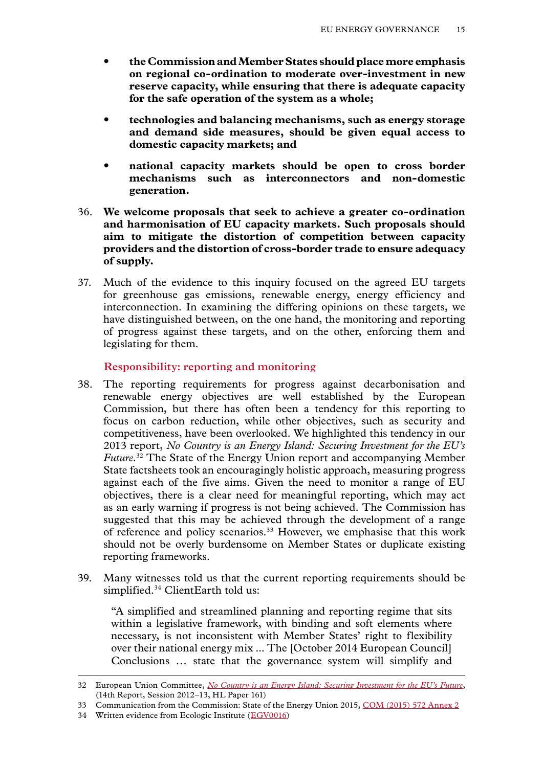- <span id="page-16-0"></span>• **the Commission and Member States should place more emphasis on regional co-ordination to moderate over-investment in new reserve capacity, while ensuring that there is adequate capacity for the safe operation of the system as a whole;**
- **technologies and balancing mechanisms, such as energy storage and demand side measures, should be given equal access to domestic capacity markets; and**
- **national capacity markets should be open to cross border mechanisms such as interconnectors and non-domestic generation.**
- 36. **We welcome proposals that seek to achieve a greater co-ordination and harmonisation of EU capacity markets. Such proposals should aim to mitigate the distortion of competition between capacity providers and the distortion of cross-border trade to ensure adequacy of supply.**
- 37. Much of the evidence to this inquiry focused on the agreed EU targets for greenhouse gas emissions, renewable energy, energy efficiency and interconnection. In examining the differing opinions on these targets, we have distinguished between, on the one hand, the monitoring and reporting of progress against these targets, and on the other, enforcing them and legislating for them.

# **Responsibility: reporting and monitoring**

- 38. The reporting requirements for progress against decarbonisation and renewable energy objectives are well established by the European Commission, but there has often been a tendency for this reporting to focus on carbon reduction, while other objectives, such as security and competitiveness, have been overlooked. We highlighted this tendency in our 2013 report, *No Country is an Energy Island: Securing Investment for the EU's Future*. 32 The State of the Energy Union report and accompanying Member State factsheets took an encouragingly holistic approach, measuring progress against each of the five aims. Given the need to monitor a range of EU objectives, there is a clear need for meaningful reporting, which may act as an early warning if progress is not being achieved. The Commission has suggested that this may be achieved through the development of a range of reference and policy scenarios.<sup>33</sup> However, we emphasise that this work should not be overly burdensome on Member States or duplicate existing reporting frameworks.
- 39. Many witnesses told us that the current reporting requirements should be simplified.<sup>34</sup> ClientEarth told us:

"A simplified and streamlined planning and reporting regime that sits within a legislative framework, with binding and soft elements where necessary, is not inconsistent with Member States' right to flexibility over their national energy mix ... The [October 2014 European Council] Conclusions … state that the governance system will simplify and

<sup>32</sup> European Union Committee, *[No Country is an Energy Island: Securing Investment for the EU's Future](http://www.parliament.uk/documents/lords-committees/eu-sub-com-d/energy/euenergypolicyfinalreport.pdf)*, (14th Report, Session 2012–13, HL Paper 161)

<sup>33</sup> Communication from the Commission: State of the Energy Union 2015, [COM \(2015\) 572 Annex 2](http://ec.europa.eu/priorities/energy-union/state-energy-union/docs/annex2-guidance-communication-state-energy-union_en.pdf)

<sup>34</sup> Written evidence from Ecologic Institute ([EGV0016](http://data.parliament.uk/writtenevidence/committeeevidence.svc/evidencedocument/eu-energy-and-environment-subcommittee/eu-energy-governance/written/22259.html))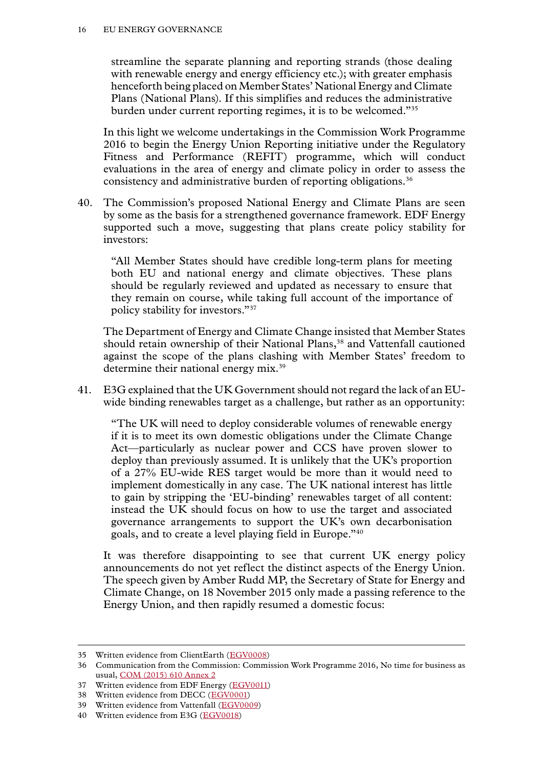streamline the separate planning and reporting strands (those dealing with renewable energy and energy efficiency etc.); with greater emphasis henceforth being placed on Member States' National Energy and Climate Plans (National Plans). If this simplifies and reduces the administrative burden under current reporting regimes, it is to be welcomed."35

In this light we welcome undertakings in the Commission Work Programme 2016 to begin the Energy Union Reporting initiative under the Regulatory Fitness and Performance (REFIT) programme, which will conduct evaluations in the area of energy and climate policy in order to assess the consistency and administrative burden of reporting obligations.<sup>36</sup>

40. The Commission's proposed National Energy and Climate Plans are seen by some as the basis for a strengthened governance framework. EDF Energy supported such a move, suggesting that plans create policy stability for investors:

"All Member States should have credible long-term plans for meeting both EU and national energy and climate objectives. These plans should be regularly reviewed and updated as necessary to ensure that they remain on course, while taking full account of the importance of policy stability for investors."37

The Department of Energy and Climate Change insisted that Member States should retain ownership of their National Plans,<sup>38</sup> and Vattenfall cautioned against the scope of the plans clashing with Member States' freedom to determine their national energy mix.<sup>39</sup>

41. E3G explained that the UK Government should not regard the lack of an EUwide binding renewables target as a challenge, but rather as an opportunity:

"The UK will need to deploy considerable volumes of renewable energy if it is to meet its own domestic obligations under the Climate Change Act—particularly as nuclear power and CCS have proven slower to deploy than previously assumed. It is unlikely that the UK's proportion of a 27% EU-wide RES target would be more than it would need to implement domestically in any case. The UK national interest has little to gain by stripping the 'EU-binding' renewables target of all content: instead the UK should focus on how to use the target and associated governance arrangements to support the UK's own decarbonisation goals, and to create a level playing field in Europe."40

It was therefore disappointing to see that current UK energy policy announcements do not yet reflect the distinct aspects of the Energy Union. The speech given by Amber Rudd MP, the Secretary of State for Energy and Climate Change, on 18 November 2015 only made a passing reference to the Energy Union, and then rapidly resumed a domestic focus:

<sup>35</sup> Written evidence from ClientEarth ([EGV0008](http://data.parliament.uk/writtenevidence/committeeevidence.svc/evidencedocument/eu-energy-and-environment-subcommittee/eu-energy-governance/written/22239.html))

<sup>36</sup> Communication from the Commission: Commission Work Programme 2016, No time for business as usual, [COM \(2015\) 610 Annex 2](http://ec.europa.eu/atwork/pdf/cwp_2016_annex_ii_en.pdf)

<sup>37</sup> Written evidence from EDF Energy ([EGV0011](http://data.parliament.uk/writtenevidence/committeeevidence.svc/evidencedocument/eu-energy-and-environment-subcommittee/eu-energy-governance/written/22243.html))

<sup>38</sup> Written evidence from DECC ([EGV0001](http://data.parliament.uk/writtenevidence/committeeevidence.svc/evidencedocument/eu-energy-and-environment-subcommittee/eu-energy-governance/written/22126.html))

<sup>39</sup> Written evidence from Vattenfall ([EGV0009](http://data.parliament.uk/writtenevidence/committeeevidence.svc/evidencedocument/eu-energy-and-environment-subcommittee/eu-energy-governance/written/22241.html))

<sup>40</sup> Written evidence from E3G ([EGV0018\)](http://data.parliament.uk/writtenevidence/committeeevidence.svc/evidencedocument/eu-energy-and-environment-subcommittee/eu-energy-governance/written/22275.html)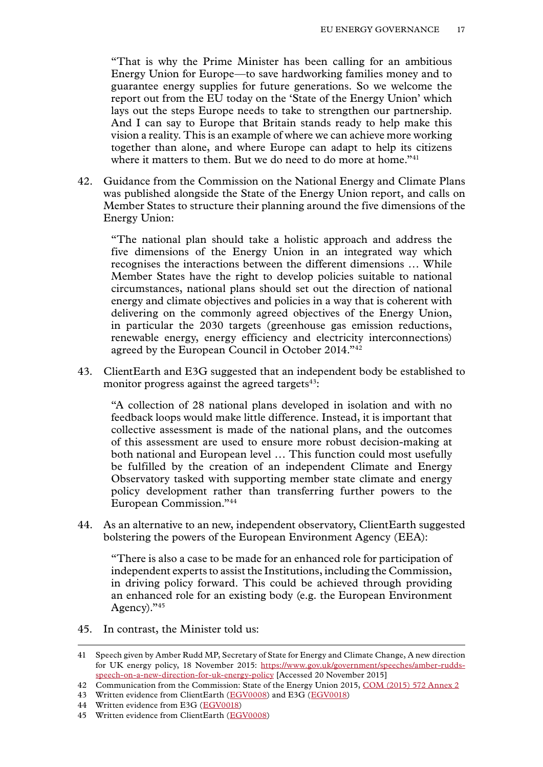"That is why the Prime Minister has been calling for an ambitious Energy Union for Europe—to save hardworking families money and to guarantee energy supplies for future generations. So we welcome the report out from the EU today on the 'State of the Energy Union' which lays out the steps Europe needs to take to strengthen our partnership. And I can say to Europe that Britain stands ready to help make this vision a reality. This is an example of where we can achieve more working together than alone, and where Europe can adapt to help its citizens where it matters to them. But we do need to do more at home."<sup>41</sup>

42. Guidance from the Commission on the National Energy and Climate Plans was published alongside the State of the Energy Union report, and calls on Member States to structure their planning around the five dimensions of the Energy Union:

"The national plan should take a holistic approach and address the five dimensions of the Energy Union in an integrated way which recognises the interactions between the different dimensions … While Member States have the right to develop policies suitable to national circumstances, national plans should set out the direction of national energy and climate objectives and policies in a way that is coherent with delivering on the commonly agreed objectives of the Energy Union, in particular the 2030 targets (greenhouse gas emission reductions, renewable energy, energy efficiency and electricity interconnections) agreed by the European Council in October 2014."42

43. ClientEarth and E3G suggested that an independent body be established to monitor progress against the agreed targets<sup>43</sup>:

"A collection of 28 national plans developed in isolation and with no feedback loops would make little difference. Instead, it is important that collective assessment is made of the national plans, and the outcomes of this assessment are used to ensure more robust decision-making at both national and European level … This function could most usefully be fulfilled by the creation of an independent Climate and Energy Observatory tasked with supporting member state climate and energy policy development rather than transferring further powers to the European Commission."44

44. As an alternative to an new, independent observatory, ClientEarth suggested bolstering the powers of the European Environment Agency (EEA):

"There is also a case to be made for an enhanced role for participation of independent experts to assist the Institutions, including the Commission, in driving policy forward. This could be achieved through providing an enhanced role for an existing body (e.g. the European Environment Agency)."45

45. In contrast, the Minister told us:

42 Communication from the Commission: State of the Energy Union 2015, [COM \(2015\) 572 Annex 2](http://ec.europa.eu/priorities/energy-union/state-energy-union/docs/annex2-guidance-communication-state-energy-union_en.pdf)

<sup>41</sup> Speech given by Amber Rudd MP, Secretary of State for Energy and Climate Change, A new direction for UK energy policy, 18 November 2015: [https://www.gov.uk/government/speeches/amber-rudds](https://www.gov.uk/government/speeches/amber-rudds-speech-on-a-new-direction-for-uk-energy-policy)[speech-on-a-new-direction-for-uk-energy-policy](https://www.gov.uk/government/speeches/amber-rudds-speech-on-a-new-direction-for-uk-energy-policy) [Accessed 20 November 2015]

<sup>43</sup> Written evidence from ClientEarth ([EGV0008](http://data.parliament.uk/writtenevidence/committeeevidence.svc/evidencedocument/eu-energy-and-environment-subcommittee/eu-energy-governance/written/22239.html)) and E3G ([EGV0018](http://data.parliament.uk/writtenevidence/committeeevidence.svc/evidencedocument/eu-energy-and-environment-subcommittee/eu-energy-governance/written/22275.html))

<sup>44</sup> Written evidence from E3G ([EGV0018\)](http://data.parliament.uk/writtenevidence/committeeevidence.svc/evidencedocument/eu-energy-and-environment-subcommittee/eu-energy-governance/written/22275.html)

<sup>45</sup> Written evidence from ClientEarth ([EGV0008](http://data.parliament.uk/writtenevidence/committeeevidence.svc/evidencedocument/eu-energy-and-environment-subcommittee/eu-energy-governance/written/22239.html))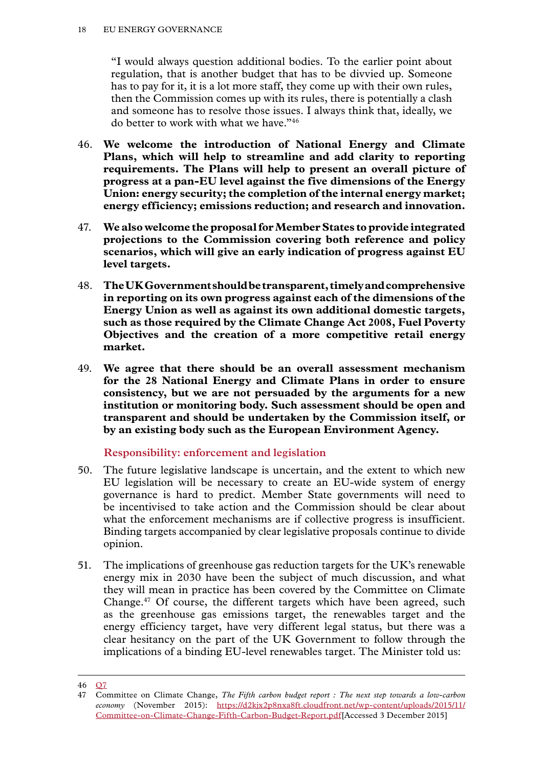<span id="page-19-0"></span>"I would always question additional bodies. To the earlier point about regulation, that is another budget that has to be divvied up. Someone has to pay for it, it is a lot more staff, they come up with their own rules, then the Commission comes up with its rules, there is potentially a clash and someone has to resolve those issues. I always think that, ideally, we do better to work with what we have."46

- 46. **We welcome the introduction of National Energy and Climate Plans, which will help to streamline and add clarity to reporting requirements. The Plans will help to present an overall picture of progress at a pan-EU level against the five dimensions of the Energy Union: energy security; the completion of the internal energy market; energy efficiency; emissions reduction; and research and innovation.**
- 47. **We also welcome the proposal for Member States to provide integrated projections to the Commission covering both reference and policy scenarios, which will give an early indication of progress against EU level targets.**
- 48. **The UK Government should be transparent, timely and comprehensive in reporting on its own progress against each of the dimensions of the Energy Union as well as against its own additional domestic targets, such as those required by the Climate Change Act 2008, Fuel Poverty Objectives and the creation of a more competitive retail energy market.**
- 49. **We agree that there should be an overall assessment mechanism for the 28 National Energy and Climate Plans in order to ensure consistency, but we are not persuaded by the arguments for a new institution or monitoring body. Such assessment should be open and transparent and should be undertaken by the Commission itself, or by an existing body such as the European Environment Agency.**

**Responsibility: enforcement and legislation**

- 50. The future legislative landscape is uncertain, and the extent to which new EU legislation will be necessary to create an EU-wide system of energy governance is hard to predict. Member State governments will need to be incentivised to take action and the Commission should be clear about what the enforcement mechanisms are if collective progress is insufficient. Binding targets accompanied by clear legislative proposals continue to divide opinion.
- 51. The implications of greenhouse gas reduction targets for the UK's renewable energy mix in 2030 have been the subject of much discussion, and what they will mean in practice has been covered by the Committee on Climate Change.47 Of course, the different targets which have been agreed, such as the greenhouse gas emissions target, the renewables target and the energy efficiency target, have very different legal status, but there was a clear hesitancy on the part of the UK Government to follow through the implications of a binding EU-level renewables target. The Minister told us:

<sup>46</sup> [Q7](http://data.parliament.uk/writtenevidence/committeeevidence.svc/evidencedocument/eu-energy-and-environment-subcommittee/eu-energy-governance/oral/23813.html)

<sup>47</sup> Committee on Climate Change, *The Fifth carbon budget report : The next step towards a low-carbon economy* (November 2015): [https://d2kjx2p8nxa8ft.cloudfront.net/wp-content/uploads/2015/11/](https://d2kjx2p8nxa8ft.cloudfront.net/wp-content/uploads/2015/11/Committee-on-Climate-Change-Fifth-Carbon-Budget-Report.pdf) [Committee-on-Climate-Change-Fifth-Carbon-Budget-Report.pdf](https://d2kjx2p8nxa8ft.cloudfront.net/wp-content/uploads/2015/11/Committee-on-Climate-Change-Fifth-Carbon-Budget-Report.pdf)[Accessed 3 December 2015]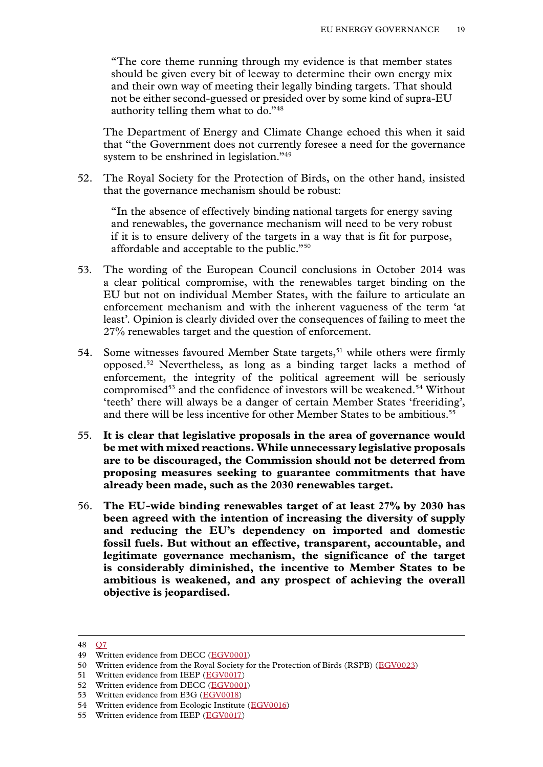"The core theme running through my evidence is that member states should be given every bit of leeway to determine their own energy mix and their own way of meeting their legally binding targets. That should not be either second-guessed or presided over by some kind of supra-EU authority telling them what to do."48

The Department of Energy and Climate Change echoed this when it said that "the Government does not currently foresee a need for the governance system to be enshrined in legislation."<sup>49</sup>

52. The Royal Society for the Protection of Birds, on the other hand, insisted that the governance mechanism should be robust:

"In the absence of effectively binding national targets for energy saving and renewables, the governance mechanism will need to be very robust if it is to ensure delivery of the targets in a way that is fit for purpose, affordable and acceptable to the public."50

- 53. The wording of the European Council conclusions in October 2014 was a clear political compromise, with the renewables target binding on the EU but not on individual Member States, with the failure to articulate an enforcement mechanism and with the inherent vagueness of the term 'at least'. Opinion is clearly divided over the consequences of failing to meet the 27% renewables target and the question of enforcement.
- 54. Some witnesses favoured Member State targets,<sup>51</sup> while others were firmly opposed.52 Nevertheless, as long as a binding target lacks a method of enforcement, the integrity of the political agreement will be seriously compromised<sup>53</sup> and the confidence of investors will be weakened.<sup>54</sup> Without 'teeth' there will always be a danger of certain Member States 'freeriding', and there will be less incentive for other Member States to be ambitious.<sup>55</sup>
- 55. **It is clear that legislative proposals in the area of governance would be met with mixed reactions. While unnecessary legislative proposals are to be discouraged, the Commission should not be deterred from proposing measures seeking to guarantee commitments that have already been made, such as the 2030 renewables target.**
- 56. **The EU-wide binding renewables target of at least 27% by 2030 has been agreed with the intention of increasing the diversity of supply and reducing the EU's dependency on imported and domestic fossil fuels. But without an effective, transparent, accountable, and legitimate governance mechanism, the significance of the target is considerably diminished, the incentive to Member States to be ambitious is weakened, and any prospect of achieving the overall objective is jeopardised.**

<sup>48</sup> [Q7](http://data.parliament.uk/writtenevidence/committeeevidence.svc/evidencedocument/eu-energy-and-environment-subcommittee/eu-energy-governance/oral/23813.html)

<sup>49</sup> Written evidence from DECC ([EGV0001](http://data.parliament.uk/writtenevidence/committeeevidence.svc/evidencedocument/eu-energy-and-environment-subcommittee/eu-energy-governance/written/22126.html))

<sup>50</sup> Written evidence from the Royal Society for the Protection of Birds (RSPB) ([EGV0023](http://data.parliament.uk/writtenevidence/committeeevidence.svc/evidencedocument/eu-energy-and-environment-subcommittee/eu-energy-governance/written/22571.html))

<sup>51</sup> Written evidence from IEEP ([EGV0017](http://data.parliament.uk/writtenevidence/committeeevidence.svc/evidencedocument/eu-energy-and-environment-subcommittee/eu-energy-governance/written/22260.html))

<sup>52</sup> Written evidence from DECC ([EGV0001](http://data.parliament.uk/writtenevidence/committeeevidence.svc/evidencedocument/eu-energy-and-environment-subcommittee/eu-energy-governance/written/22126.html))

<sup>53</sup> Written evidence from E3G ([EGV0018\)](http://data.parliament.uk/writtenevidence/committeeevidence.svc/evidencedocument/eu-energy-and-environment-subcommittee/eu-energy-governance/written/22275.html)

<sup>54</sup> Written evidence from Ecologic Institute ([EGV0016](http://data.parliament.uk/writtenevidence/committeeevidence.svc/evidencedocument/eu-energy-and-environment-subcommittee/eu-energy-governance/written/22259.html))

<sup>55</sup> Written evidence from IEEP ([EGV0017](http://data.parliament.uk/writtenevidence/committeeevidence.svc/evidencedocument/eu-energy-and-environment-subcommittee/eu-energy-governance/written/22260.html))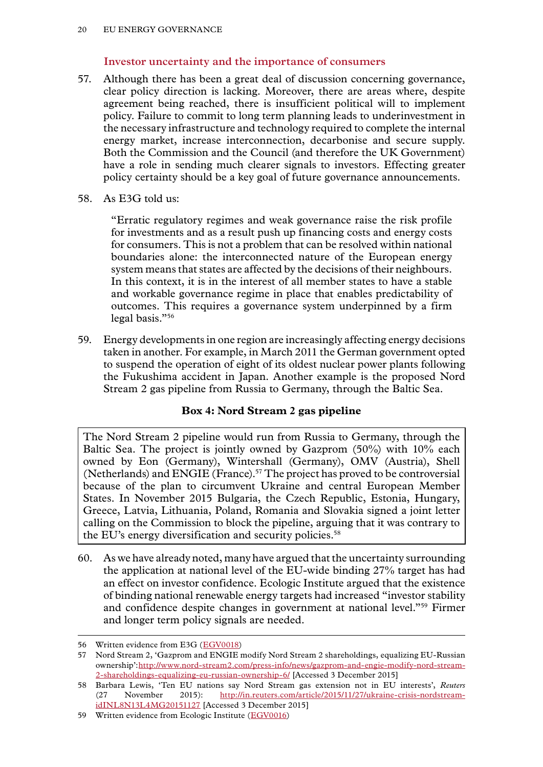#### **Investor uncertainty and the importance of consumers**

- <span id="page-21-0"></span>57. Although there has been a great deal of discussion concerning governance, clear policy direction is lacking. Moreover, there are areas where, despite agreement being reached, there is insufficient political will to implement policy. Failure to commit to long term planning leads to underinvestment in the necessary infrastructure and technology required to complete the internal energy market, increase interconnection, decarbonise and secure supply. Both the Commission and the Council (and therefore the UK Government) have a role in sending much clearer signals to investors. Effecting greater policy certainty should be a key goal of future governance announcements.
- 58. As E3G told us:

"Erratic regulatory regimes and weak governance raise the risk profile for investments and as a result push up financing costs and energy costs for consumers. This is not a problem that can be resolved within national boundaries alone: the interconnected nature of the European energy system means that states are affected by the decisions of their neighbours. In this context, it is in the interest of all member states to have a stable and workable governance regime in place that enables predictability of outcomes. This requires a governance system underpinned by a firm legal basis."56

59. Energy developments in one region are increasingly affecting energy decisions taken in another. For example, in March 2011 the German government opted to suspend the operation of eight of its oldest nuclear power plants following the Fukushima accident in Japan. Another example is the proposed Nord Stream 2 gas pipeline from Russia to Germany, through the Baltic Sea.

#### **Box 4: Nord Stream 2 gas pipeline**

The Nord Stream 2 pipeline would run from Russia to Germany, through the Baltic Sea. The project is jointly owned by Gazprom (50%) with 10% each owned by Eon (Germany), Wintershall (Germany), OMV (Austria), Shell (Netherlands) and ENGIE (France).<sup>57</sup> The project has proved to be controversial because of the plan to circumvent Ukraine and central European Member States. In November 2015 Bulgaria, the Czech Republic, Estonia, Hungary, Greece, Latvia, Lithuania, Poland, Romania and Slovakia signed a joint letter calling on the Commission to block the pipeline, arguing that it was contrary to the EU's energy diversification and security policies.<sup>58</sup>

60. As we have already noted, many have argued that the uncertainty surrounding the application at national level of the EU-wide binding 27% target has had an effect on investor confidence. Ecologic Institute argued that the existence of binding national renewable energy targets had increased "investor stability and confidence despite changes in government at national level."59 Firmer and longer term policy signals are needed.

<sup>56</sup> Written evidence from E3G ([EGV0018\)](http://data.parliament.uk/writtenevidence/committeeevidence.svc/evidencedocument/eu-energy-and-environment-subcommittee/eu-energy-governance/written/22275.html)

<sup>57</sup> Nord Stream 2, 'Gazprom and ENGIE modify Nord Stream 2 shareholdings, equalizing EU-Russian ownership': [http://www.nord-stream2.com/press-info/news/gazprom-and-engie-modify-nord-stream-](http://www.nord-stream2.com/press-info/news/gazprom-and-engie-modify-nord-stream-2-shareholdings-equalizing-eu-russian-ownership-6/)[2-shareholdings-equalizing-eu-russian-ownership-6/](http://www.nord-stream2.com/press-info/news/gazprom-and-engie-modify-nord-stream-2-shareholdings-equalizing-eu-russian-ownership-6/) [Accessed 3 December 2015]

<sup>58</sup> Barbara Lewis, 'Ten EU nations say Nord Stream gas extension not in EU interests', *Reuters*  (27 November 2015): [http://in.reuters.com/article/2015/11/27/ukraine-crisis-nordstream](http://in.reuters.com/article/2015/11/27/ukraine-crisis-nordstream-idINL8N13L4MG20151127)[idINL8N13L4MG20151127](http://in.reuters.com/article/2015/11/27/ukraine-crisis-nordstream-idINL8N13L4MG20151127) [Accessed 3 December 2015]

<sup>59</sup> Written evidence from Ecologic Institute ([EGV0016](http://data.parliament.uk/writtenevidence/committeeevidence.svc/evidencedocument/eu-energy-and-environment-subcommittee/eu-energy-governance/written/22259.html))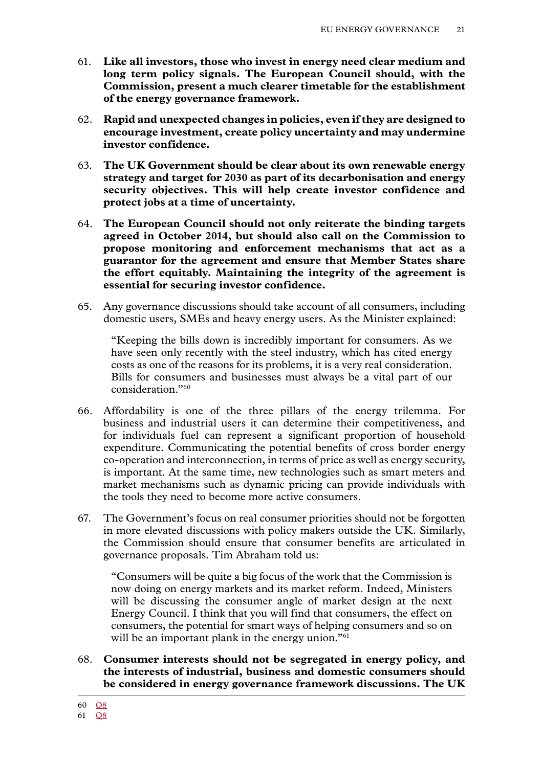- 61. **Like all investors, those who invest in energy need clear medium and long term policy signals. The European Council should, with the Commission, present a much clearer timetable for the establishment of the energy governance framework.**
- 62. **Rapid and unexpected changes in policies, even if they are designed to encourage investment, create policy uncertainty and may undermine investor confidence.**
- 63. **The UK Government should be clear about its own renewable energy strategy and target for 2030 as part of its decarbonisation and energy security objectives. This will help create investor confidence and protect jobs at a time of uncertainty.**
- 64. **The European Council should not only reiterate the binding targets agreed in October 2014, but should also call on the Commission to propose monitoring and enforcement mechanisms that act as a guarantor for the agreement and ensure that Member States share the effort equitably. Maintaining the integrity of the agreement is essential for securing investor confidence.**
- 65. Any governance discussions should take account of all consumers, including domestic users, SMEs and heavy energy users. As the Minister explained:

"Keeping the bills down is incredibly important for consumers. As we have seen only recently with the steel industry, which has cited energy costs as one of the reasons for its problems, it is a very real consideration. Bills for consumers and businesses must always be a vital part of our consideration."60

- 66. Affordability is one of the three pillars of the energy trilemma. For business and industrial users it can determine their competitiveness, and for individuals fuel can represent a significant proportion of household expenditure. Communicating the potential benefits of cross border energy co-operation and interconnection, in terms of price as well as energy security, is important. At the same time, new technologies such as smart meters and market mechanisms such as dynamic pricing can provide individuals with the tools they need to become more active consumers.
- 67. The Government's focus on real consumer priorities should not be forgotten in more elevated discussions with policy makers outside the UK. Similarly, the Commission should ensure that consumer benefits are articulated in governance proposals. Tim Abraham told us:

"Consumers will be quite a big focus of the work that the Commission is now doing on energy markets and its market reform. Indeed, Ministers will be discussing the consumer angle of market design at the next Energy Council. I think that you will find that consumers, the effect on consumers, the potential for smart ways of helping consumers and so on will be an important plank in the energy union."<sup>61</sup>

68. **Consumer interests should not be segregated in energy policy, and the interests of industrial, business and domestic consumers should be considered in energy governance framework discussions. The UK** 

<sup>60</sup> [Q8](http://data.parliament.uk/writtenevidence/committeeevidence.svc/evidencedocument/eu-energy-and-environment-subcommittee/eu-energy-governance/oral/23813.html)

<sup>61</sup> [Q8](http://data.parliament.uk/writtenevidence/committeeevidence.svc/evidencedocument/eu-energy-and-environment-subcommittee/eu-energy-governance/oral/23813.html)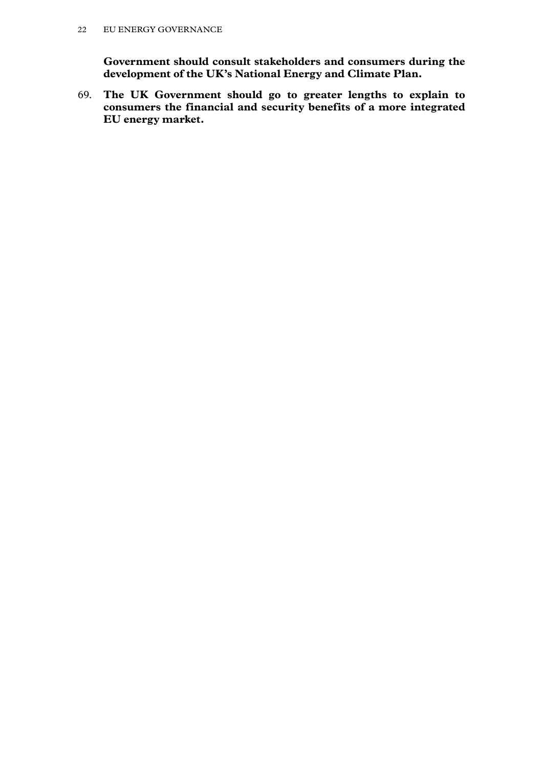**Government should consult stakeholders and consumers during the development of the UK's National Energy and Climate Plan.**

69. **The UK Government should go to greater lengths to explain to consumers the financial and security benefits of a more integrated EU energy market.**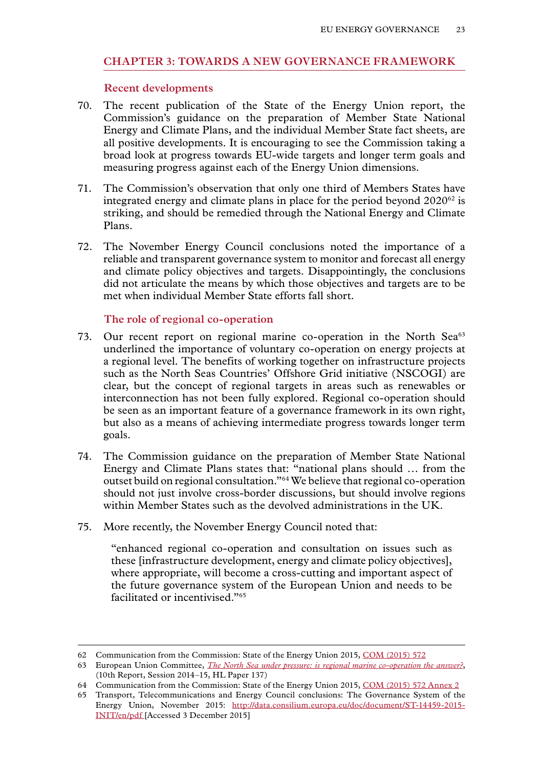#### <span id="page-24-0"></span>**Chapter 3: TOWARDS A NEW GOVERNANCE FRAMEWORK**

#### **Recent developments**

- 70. The recent publication of the State of the Energy Union report, the Commission's guidance on the preparation of Member State National Energy and Climate Plans, and the individual Member State fact sheets, are all positive developments. It is encouraging to see the Commission taking a broad look at progress towards EU-wide targets and longer term goals and measuring progress against each of the Energy Union dimensions.
- 71. The Commission's observation that only one third of Members States have integrated energy and climate plans in place for the period beyond  $2020^{62}$  is striking, and should be remedied through the National Energy and Climate Plans.
- 72. The November Energy Council conclusions noted the importance of a reliable and transparent governance system to monitor and forecast all energy and climate policy objectives and targets. Disappointingly, the conclusions did not articulate the means by which those objectives and targets are to be met when individual Member State efforts fall short.

#### **The role of regional co-operation**

- 73. Our recent report on regional marine co-operation in the North Sea<sup>63</sup> underlined the importance of voluntary co-operation on energy projects at a regional level. The benefits of working together on infrastructure projects such as the North Seas Countries' Offshore Grid initiative (NSCOGI) are clear, but the concept of regional targets in areas such as renewables or interconnection has not been fully explored. Regional co-operation should be seen as an important feature of a governance framework in its own right, but also as a means of achieving intermediate progress towards longer term goals.
- 74. The Commission guidance on the preparation of Member State National Energy and Climate Plans states that: "national plans should … from the outset build on regional consultation."64 We believe that regional co-operation should not just involve cross-border discussions, but should involve regions within Member States such as the devolved administrations in the UK.
- 75. More recently, the November Energy Council noted that:

"enhanced regional co-operation and consultation on issues such as these [infrastructure development, energy and climate policy objectives], where appropriate, will become a cross-cutting and important aspect of the future governance system of the European Union and needs to be facilitated or incentivised."65

<sup>62</sup> Communication from the Commission: State of the Energy Union 2015, [COM \(2015\) 572](https://ec.europa.eu/transparency/regdoc/rep/1/2015/EN/1-2015-572-EN-F1-1.PDF)

<sup>63</sup> European Union Committee, *[The North Sea under pressure: is regional marine co-operation the answer?](http://www.publications.parliament.uk/pa/ld201415/ldselect/ldeucom/137/137.pdf)*, (10th Report, Session 2014–15, HL Paper 137)

<sup>64</sup> Communication from the Commission: State of the Energy Union 2015, [COM \(2015\) 572 Annex 2](http://ec.europa.eu/priorities/energy-union/state-energy-union/docs/annex2-guidance-communication-state-energy-union_en.pdf)

<sup>65</sup> Transport, Telecommunications and Energy Council conclusions: The Governance System of the Energy Union, November 2015: [http://data.consilium.europa.eu/doc/document/ST-14459-2015-](http://data.consilium.europa.eu/doc/document/ST-14459-2015-INIT/en/pdf) [INIT/en/pdf](http://data.consilium.europa.eu/doc/document/ST-14459-2015-INIT/en/pdf) [Accessed 3 December 2015]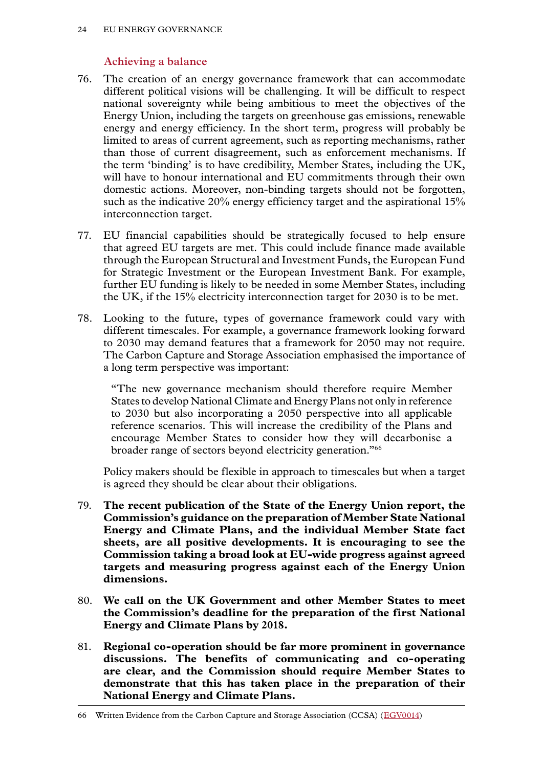#### **Achieving a balance**

- <span id="page-25-0"></span>76. The creation of an energy governance framework that can accommodate different political visions will be challenging. It will be difficult to respect national sovereignty while being ambitious to meet the objectives of the Energy Union, including the targets on greenhouse gas emissions, renewable energy and energy efficiency. In the short term, progress will probably be limited to areas of current agreement, such as reporting mechanisms, rather than those of current disagreement, such as enforcement mechanisms. If the term 'binding' is to have credibility, Member States, including the UK, will have to honour international and EU commitments through their own domestic actions. Moreover, non-binding targets should not be forgotten, such as the indicative 20% energy efficiency target and the aspirational 15% interconnection target.
- 77. EU financial capabilities should be strategically focused to help ensure that agreed EU targets are met. This could include finance made available through the European Structural and Investment Funds, the European Fund for Strategic Investment or the European Investment Bank. For example, further EU funding is likely to be needed in some Member States, including the UK, if the 15% electricity interconnection target for 2030 is to be met.
- 78. Looking to the future, types of governance framework could vary with different timescales. For example, a governance framework looking forward to 2030 may demand features that a framework for 2050 may not require. The Carbon Capture and Storage Association emphasised the importance of a long term perspective was important:

"The new governance mechanism should therefore require Member States to develop National Climate and Energy Plans not only in reference to 2030 but also incorporating a 2050 perspective into all applicable reference scenarios. This will increase the credibility of the Plans and encourage Member States to consider how they will decarbonise a broader range of sectors beyond electricity generation."66

Policy makers should be flexible in approach to timescales but when a target is agreed they should be clear about their obligations.

- 79. **The recent publication of the State of the Energy Union report, the Commission's guidance on the preparation of Member State National Energy and Climate Plans, and the individual Member State fact sheets, are all positive developments. It is encouraging to see the Commission taking a broad look at EU-wide progress against agreed targets and measuring progress against each of the Energy Union dimensions.**
- 80. **We call on the UK Government and other Member States to meet the Commission's deadline for the preparation of the first National Energy and Climate Plans by 2018.**
- 81. **Regional co-operation should be far more prominent in governance discussions. The benefits of communicating and co-operating are clear, and the Commission should require Member States to demonstrate that this has taken place in the preparation of their National Energy and Climate Plans.**

<sup>66</sup> Written Evidence from the Carbon Capture and Storage Association (CCSA) ([EGV0014\)](http://data.parliament.uk/writtenevidence/committeeevidence.svc/evidencedocument/eu-energy-and-environment-subcommittee/eu-energy-governance/written/22252.html)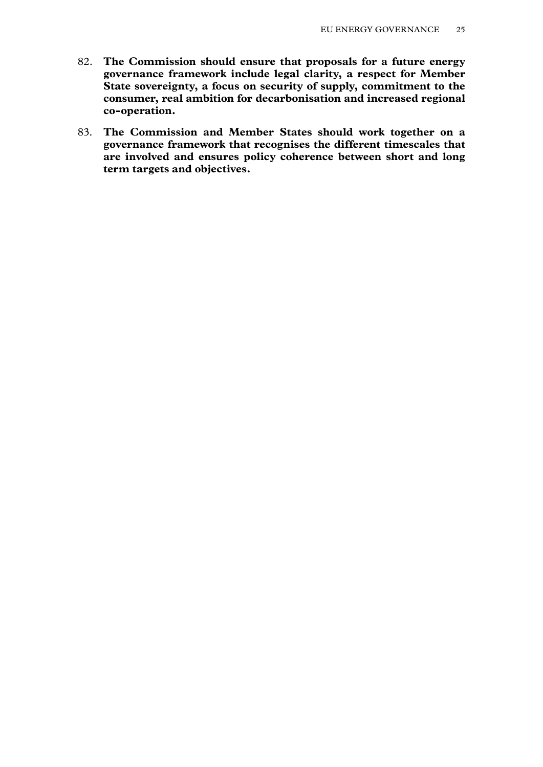- 82. **The Commission should ensure that proposals for a future energy governance framework include legal clarity, a respect for Member State sovereignty, a focus on security of supply, commitment to the consumer, real ambition for decarbonisation and increased regional co-operation.**
- 83. **The Commission and Member States should work together on a governance framework that recognises the different timescales that are involved and ensures policy coherence between short and long term targets and objectives.**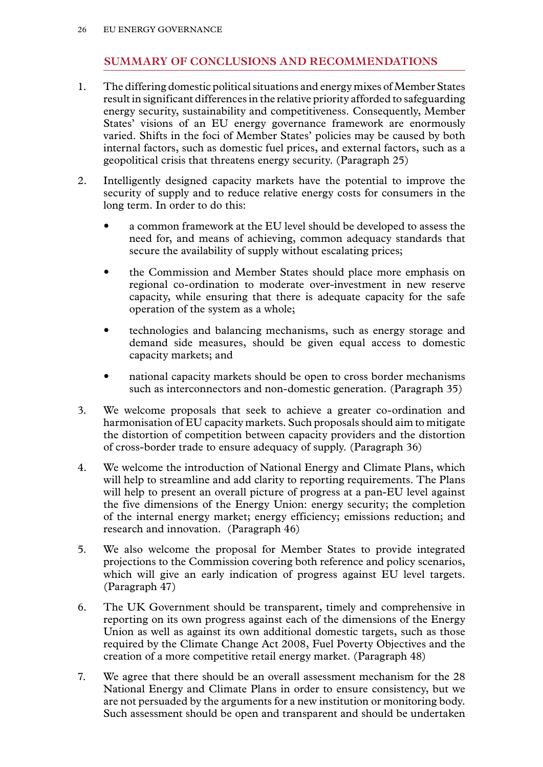# **SUMMARY OF CONCLUSIONS AND RECOMMENDATIONS**

- <span id="page-27-0"></span>1. The differing domestic political situations and energy mixes of Member States result in significant differences in the relative priority afforded to safeguarding energy security, sustainability and competitiveness. Consequently, Member States' visions of an EU energy governance framework are enormously varied. Shifts in the foci of Member States' policies may be caused by both internal factors, such as domestic fuel prices, and external factors, such as a geopolitical crisis that threatens energy security. (Paragraph 25)
- 2. Intelligently designed capacity markets have the potential to improve the security of supply and to reduce relative energy costs for consumers in the long term. In order to do this:
	- a common framework at the EU level should be developed to assess the need for, and means of achieving, common adequacy standards that secure the availability of supply without escalating prices;
	- the Commission and Member States should place more emphasis on regional co-ordination to moderate over-investment in new reserve capacity, while ensuring that there is adequate capacity for the safe operation of the system as a whole;
	- technologies and balancing mechanisms, such as energy storage and demand side measures, should be given equal access to domestic capacity markets; and
	- national capacity markets should be open to cross border mechanisms such as interconnectors and non-domestic generation. (Paragraph 35)
- 3. We welcome proposals that seek to achieve a greater co-ordination and harmonisation of EU capacity markets. Such proposals should aim to mitigate the distortion of competition between capacity providers and the distortion of cross-border trade to ensure adequacy of supply. (Paragraph 36)
- 4. We welcome the introduction of National Energy and Climate Plans, which will help to streamline and add clarity to reporting requirements. The Plans will help to present an overall picture of progress at a pan-EU level against the five dimensions of the Energy Union: energy security; the completion of the internal energy market; energy efficiency; emissions reduction; and research and innovation. (Paragraph 46)
- 5. We also welcome the proposal for Member States to provide integrated projections to the Commission covering both reference and policy scenarios, which will give an early indication of progress against EU level targets. (Paragraph 47)
- 6. The UK Government should be transparent, timely and comprehensive in reporting on its own progress against each of the dimensions of the Energy Union as well as against its own additional domestic targets, such as those required by the Climate Change Act 2008, Fuel Poverty Objectives and the creation of a more competitive retail energy market. (Paragraph 48)
- 7. We agree that there should be an overall assessment mechanism for the 28 National Energy and Climate Plans in order to ensure consistency, but we are not persuaded by the arguments for a new institution or monitoring body. Such assessment should be open and transparent and should be undertaken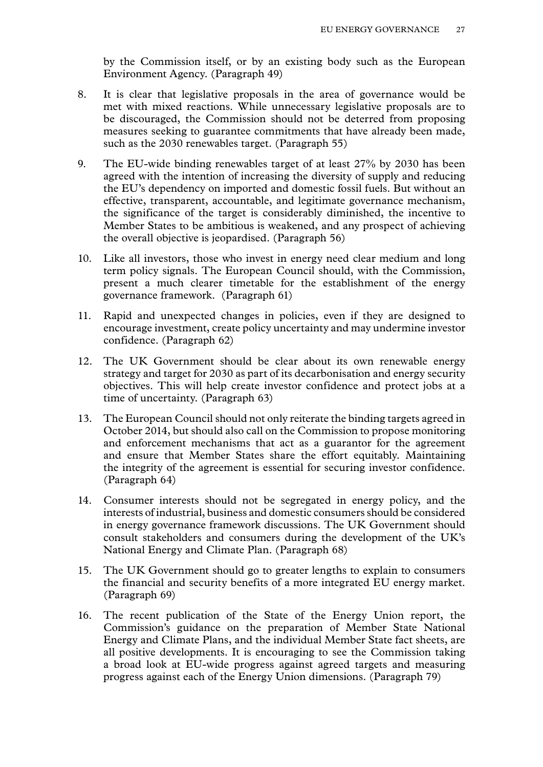by the Commission itself, or by an existing body such as the European Environment Agency. (Paragraph 49)

- 8. It is clear that legislative proposals in the area of governance would be met with mixed reactions. While unnecessary legislative proposals are to be discouraged, the Commission should not be deterred from proposing measures seeking to guarantee commitments that have already been made, such as the 2030 renewables target. (Paragraph 55)
- 9. The EU-wide binding renewables target of at least 27% by 2030 has been agreed with the intention of increasing the diversity of supply and reducing the EU's dependency on imported and domestic fossil fuels. But without an effective, transparent, accountable, and legitimate governance mechanism, the significance of the target is considerably diminished, the incentive to Member States to be ambitious is weakened, and any prospect of achieving the overall objective is jeopardised. (Paragraph 56)
- 10. Like all investors, those who invest in energy need clear medium and long term policy signals. The European Council should, with the Commission, present a much clearer timetable for the establishment of the energy governance framework. (Paragraph 61)
- 11. Rapid and unexpected changes in policies, even if they are designed to encourage investment, create policy uncertainty and may undermine investor confidence. (Paragraph 62)
- 12. The UK Government should be clear about its own renewable energy strategy and target for 2030 as part of its decarbonisation and energy security objectives. This will help create investor confidence and protect jobs at a time of uncertainty. (Paragraph 63)
- 13. The European Council should not only reiterate the binding targets agreed in October 2014, but should also call on the Commission to propose monitoring and enforcement mechanisms that act as a guarantor for the agreement and ensure that Member States share the effort equitably. Maintaining the integrity of the agreement is essential for securing investor confidence. (Paragraph 64)
- 14. Consumer interests should not be segregated in energy policy, and the interests of industrial, business and domestic consumers should be considered in energy governance framework discussions. The UK Government should consult stakeholders and consumers during the development of the UK's National Energy and Climate Plan. (Paragraph 68)
- 15. The UK Government should go to greater lengths to explain to consumers the financial and security benefits of a more integrated EU energy market. (Paragraph 69)
- 16. The recent publication of the State of the Energy Union report, the Commission's guidance on the preparation of Member State National Energy and Climate Plans, and the individual Member State fact sheets, are all positive developments. It is encouraging to see the Commission taking a broad look at EU-wide progress against agreed targets and measuring progress against each of the Energy Union dimensions. (Paragraph 79)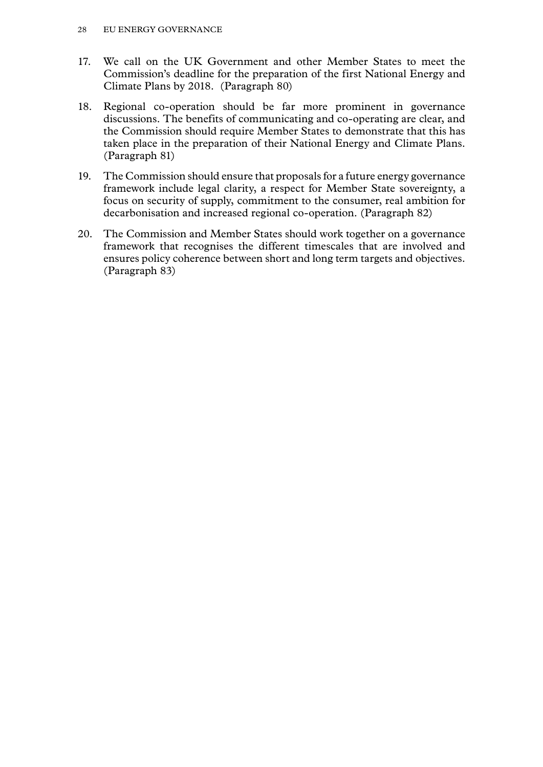- 17. We call on the UK Government and other Member States to meet the Commission's deadline for the preparation of the first National Energy and Climate Plans by 2018. (Paragraph 80)
- 18. Regional co-operation should be far more prominent in governance discussions. The benefits of communicating and co-operating are clear, and the Commission should require Member States to demonstrate that this has taken place in the preparation of their National Energy and Climate Plans. (Paragraph 81)
- 19. The Commission should ensure that proposals for a future energy governance framework include legal clarity, a respect for Member State sovereignty, a focus on security of supply, commitment to the consumer, real ambition for decarbonisation and increased regional co-operation. (Paragraph 82)
- 20. The Commission and Member States should work together on a governance framework that recognises the different timescales that are involved and ensures policy coherence between short and long term targets and objectives. (Paragraph 83)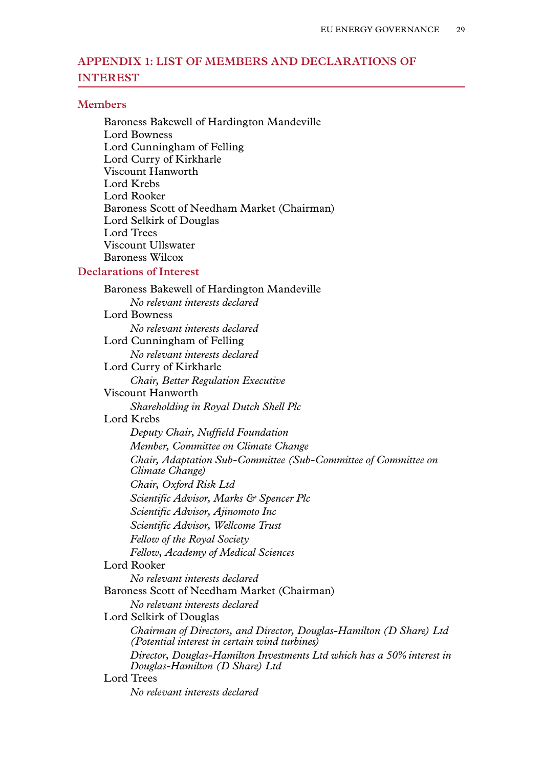# <span id="page-30-0"></span>**Appendix 1: LIST OF MEMBERS AND DECLARATIONS OF INTEREST**

#### **Members**

Baroness Bakewell of Hardington Mandeville Lord Bowness Lord Cunningham of Felling Lord Curry of Kirkharle Viscount Hanworth Lord Krebs Lord Rooker Baroness Scott of Needham Market (Chairman) Lord Selkirk of Douglas Lord Trees Viscount Ullswater Baroness Wilcox

#### **Declarations of Interest**

Baroness Bakewell of Hardington Mandeville *No relevant interests declared* Lord Bowness *No relevant interests declared* Lord Cunningham of Felling *No relevant interests declared* Lord Curry of Kirkharle *Chair, Better Regulation Executive* Viscount Hanworth *Shareholding in Royal Dutch Shell Plc* Lord Krebs *Deputy Chair, Nuffield Foundation Member, Committee on Climate Change Chair, Adaptation Sub-Committee (Sub-Committee of Committee on Climate Change) Chair, Oxford Risk Ltd Scientific Advisor, Marks & Spencer Plc Scientific Advisor, Ajinomoto Inc Scientific Advisor, Wellcome Trust Fellow of the Royal Society Fellow, Academy of Medical Sciences* Lord Rooker *No relevant interests declared* Baroness Scott of Needham Market (Chairman) *No relevant interests declared* Lord Selkirk of Douglas *Chairman of Directors, and Director, Douglas-Hamilton (D Share) Ltd (Potential interest in certain wind turbines) Director, Douglas-Hamilton Investments Ltd which has a 50% interest in Douglas-Hamilton (D Share) Ltd* Lord Trees *No relevant interests declared*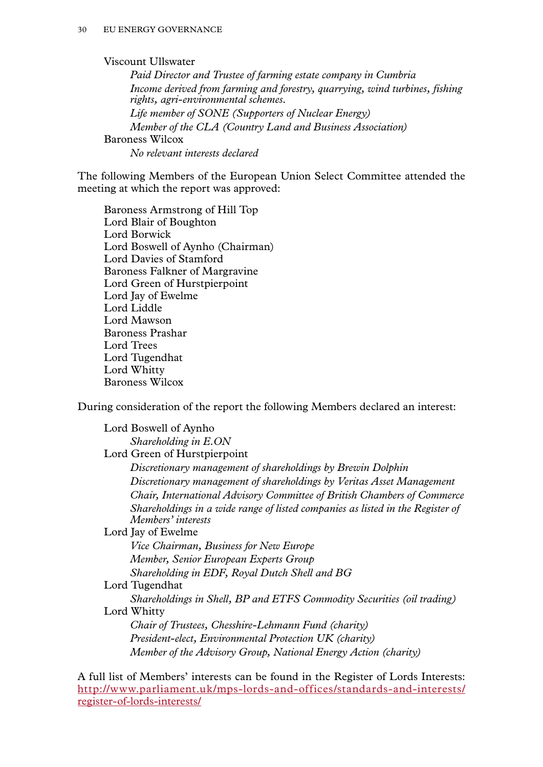Viscount Ullswater

*Paid Director and Trustee of farming estate company in Cumbria Income derived from farming and forestry, quarrying, wind turbines, fishing rights, agri-environmental schemes. Life member of SONE (Supporters of Nuclear Energy) Member of the CLA (Country Land and Business Association)* Baroness Wilcox *No relevant interests declared*

The following Members of the European Union Select Committee attended the meeting at which the report was approved:

Baroness Armstrong of Hill Top Lord Blair of Boughton Lord Borwick Lord Boswell of Aynho (Chairman) Lord Davies of Stamford Baroness Falkner of Margravine Lord Green of Hurstpierpoint Lord Jay of Ewelme Lord Liddle Lord Mawson Baroness Prashar Lord Trees Lord Tugendhat Lord Whitty Baroness Wilcox

During consideration of the report the following Members declared an interest:

| Lord Boswell of Aynho                                                                                |
|------------------------------------------------------------------------------------------------------|
| Shareholding in E.ON                                                                                 |
| Lord Green of Hurstpierpoint                                                                         |
| Discretionary management of shareholdings by Brewin Dolphin                                          |
| Discretionary management of shareholdings by Veritas Asset Management                                |
| Chair, International Advisory Committee of British Chambers of Commerce                              |
| Shareholdings in a wide range of listed companies as listed in the Register of<br>Members' interests |
| Lord Jay of Ewelme                                                                                   |
| Vice Chairman, Business for New Europe                                                               |
| Member, Senior European Experts Group                                                                |
| Shareholding in EDF, Royal Dutch Shell and BG                                                        |
| Lord Tugendhat                                                                                       |
| Shareholdings in Shell, BP and ETFS Commodity Securities (oil trading)                               |
| Lord Whitty                                                                                          |
| Chair of Trustees, Chesshire-Lehmann Fund (charity)                                                  |
| President-elect, Environmental Protection UK (charity)                                               |
| Member of the Advisory Group, National Energy Action (charity)                                       |

A full list of Members' interests can be found in the Register of Lords Interests: [http://www.parliament.uk/mps-lords-and-offices/standards-and-interests/](http://www.parliament.uk/mps-lords-and-offices/standards-and-interests/register-of-lords-interests/) [register-of-lords-interests/](http://www.parliament.uk/mps-lords-and-offices/standards-and-interests/register-of-lords-interests/)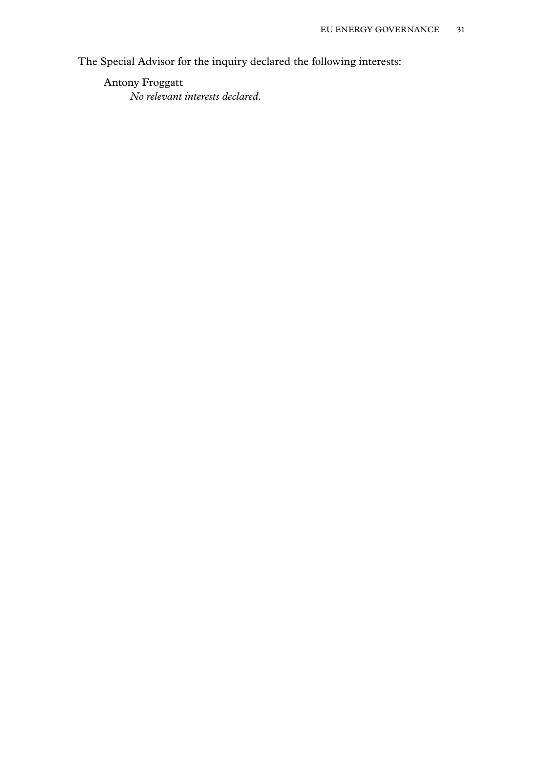The Special Advisor for the inquiry declared the following interests:

Antony Froggatt *No relevant interests declared.*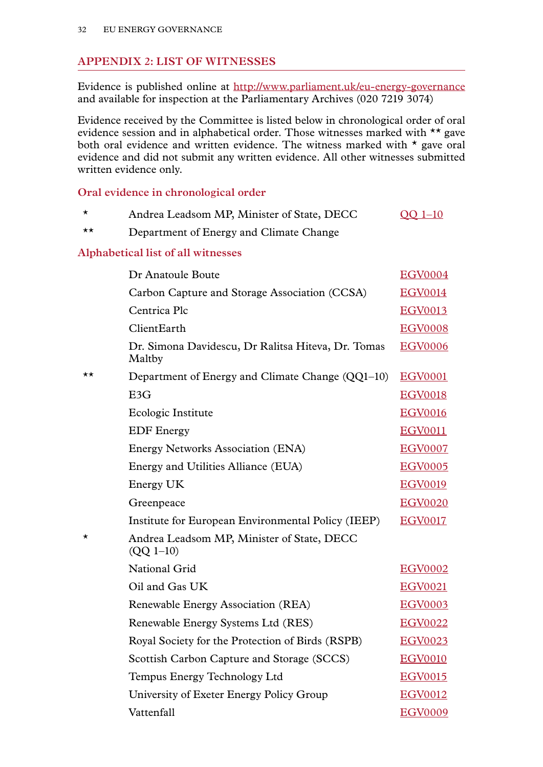# <span id="page-33-0"></span>**Appendix 2: LIST OF WITNESSES**

Evidence is published online at <http://www.parliament.uk/eu-energy-governance> and available for inspection at the Parliamentary Archives (020 7219 3074)

Evidence received by the Committee is listed below in chronological order of oral evidence session and in alphabetical order. Those witnesses marked with \*\* gave both oral evidence and written evidence. The witness marked with  $\star$  gave oral evidence and did not submit any written evidence. All other witnesses submitted written evidence only.

**Oral evidence in chronological order**

| $^\star$ | Andrea Leadsom MP, Minister of State, DECC                   | $OO 1-10$      |
|----------|--------------------------------------------------------------|----------------|
| ★★       | Department of Energy and Climate Change                      |                |
|          | Alphabetical list of all witnesses                           |                |
|          | Dr Anatoule Boute                                            | <b>EGV0004</b> |
|          | Carbon Capture and Storage Association (CCSA)                | <b>EGV0014</b> |
|          | Centrica Plc                                                 | <b>EGV0013</b> |
|          | ClientEarth                                                  | <b>EGV0008</b> |
|          | Dr. Simona Davidescu, Dr Ralitsa Hiteva, Dr. Tomas<br>Maltby | <b>EGV0006</b> |
| ★★       | Department of Energy and Climate Change (QQ1–10)             | <b>EGV0001</b> |
|          | E3G                                                          | <b>EGV0018</b> |
|          | Ecologic Institute                                           | <b>EGV0016</b> |
|          | <b>EDF</b> Energy                                            | <b>EGV0011</b> |
|          | <b>Energy Networks Association (ENA)</b>                     | <b>EGV0007</b> |
|          | Energy and Utilities Alliance (EUA)                          | <b>EGV0005</b> |
|          | Energy UK                                                    | <b>EGV0019</b> |
|          | Greenpeace                                                   | <b>EGV0020</b> |
|          | Institute for European Environmental Policy (IEEP)           | <b>EGV0017</b> |
| $\star$  | Andrea Leadsom MP, Minister of State, DECC<br>$(QQ 1-10)$    |                |
|          | National Grid                                                | <b>EGV0002</b> |
|          | Oil and Gas UK                                               | <b>EGV0021</b> |
|          | Renewable Energy Association (REA)                           | <b>EGV0003</b> |
|          | Renewable Energy Systems Ltd (RES)                           | <b>EGV0022</b> |
|          | Royal Society for the Protection of Birds (RSPB)             | <b>EGV0023</b> |
|          | Scottish Carbon Capture and Storage (SCCS)                   | <b>EGV0010</b> |
|          | Tempus Energy Technology Ltd                                 | <b>EGV0015</b> |
|          | University of Exeter Energy Policy Group                     | <b>EGV0012</b> |
|          | Vattenfall                                                   | <b>EGV0009</b> |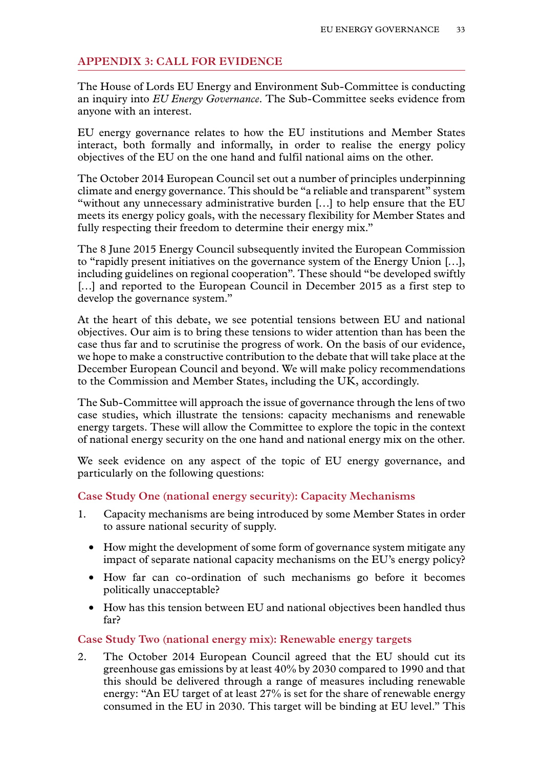# <span id="page-34-0"></span>**Appendix 3: CALL FOR EVIDENCE**

The House of Lords EU Energy and Environment Sub-Committee is conducting an inquiry into *EU Energy Governance*. The Sub-Committee seeks evidence from anyone with an interest.

EU energy governance relates to how the EU institutions and Member States interact, both formally and informally, in order to realise the energy policy objectives of the EU on the one hand and fulfil national aims on the other.

The October 2014 European Council set out a number of principles underpinning climate and energy governance. This should be "a reliable and transparent" system "without any unnecessary administrative burden […] to help ensure that the EU meets its energy policy goals, with the necessary flexibility for Member States and fully respecting their freedom to determine their energy mix."

The 8 June 2015 Energy Council subsequently invited the European Commission to "rapidly present initiatives on the governance system of the Energy Union […], including guidelines on regional cooperation". These should "be developed swiftly [...] and reported to the European Council in December 2015 as a first step to develop the governance system."

At the heart of this debate, we see potential tensions between EU and national objectives. Our aim is to bring these tensions to wider attention than has been the case thus far and to scrutinise the progress of work. On the basis of our evidence, we hope to make a constructive contribution to the debate that will take place at the December European Council and beyond. We will make policy recommendations to the Commission and Member States, including the UK, accordingly.

The Sub-Committee will approach the issue of governance through the lens of two case studies, which illustrate the tensions: capacity mechanisms and renewable energy targets. These will allow the Committee to explore the topic in the context of national energy security on the one hand and national energy mix on the other.

We seek evidence on any aspect of the topic of EU energy governance, and particularly on the following questions:

#### **Case Study One (national energy security): Capacity Mechanisms**

- 1. Capacity mechanisms are being introduced by some Member States in order to assure national security of supply.
	- How might the development of some form of governance system mitigate any impact of separate national capacity mechanisms on the EU's energy policy?
	- How far can co-ordination of such mechanisms go before it becomes politically unacceptable?
	- How has this tension between EU and national objectives been handled thus far?

#### **Case Study Two (national energy mix): Renewable energy targets**

2. The October 2014 European Council agreed that the EU should cut its greenhouse gas emissions by at least 40% by 2030 compared to 1990 and that this should be delivered through a range of measures including renewable energy: "An EU target of at least 27% is set for the share of renewable energy consumed in the EU in 2030. This target will be binding at EU level." This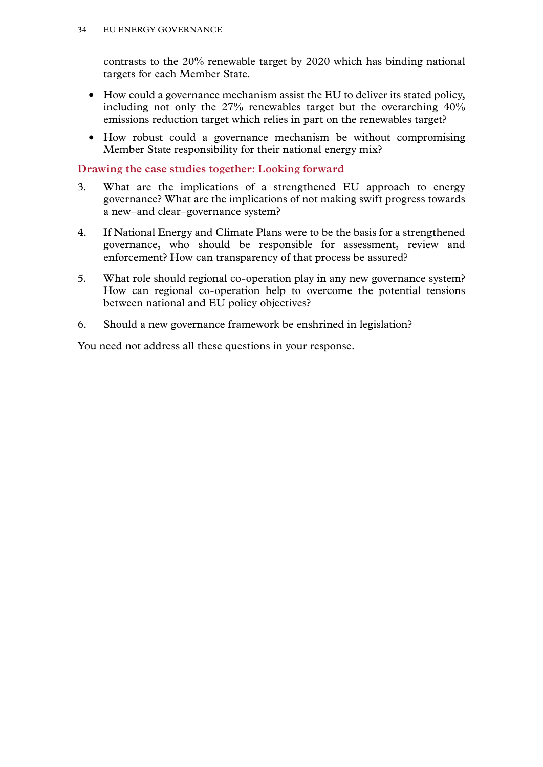contrasts to the 20% renewable target by 2020 which has binding national targets for each Member State.

- How could a governance mechanism assist the EU to deliver its stated policy, including not only the 27% renewables target but the overarching 40% emissions reduction target which relies in part on the renewables target?
- How robust could a governance mechanism be without compromising Member State responsibility for their national energy mix?

#### **Drawing the case studies together: Looking forward**

- 3. What are the implications of a strengthened EU approach to energy governance? What are the implications of not making swift progress towards a new–and clear–governance system?
- 4. If National Energy and Climate Plans were to be the basis for a strengthened governance, who should be responsible for assessment, review and enforcement? How can transparency of that process be assured?
- 5. What role should regional co-operation play in any new governance system? How can regional co-operation help to overcome the potential tensions between national and EU policy objectives?
- 6. Should a new governance framework be enshrined in legislation?

You need not address all these questions in your response.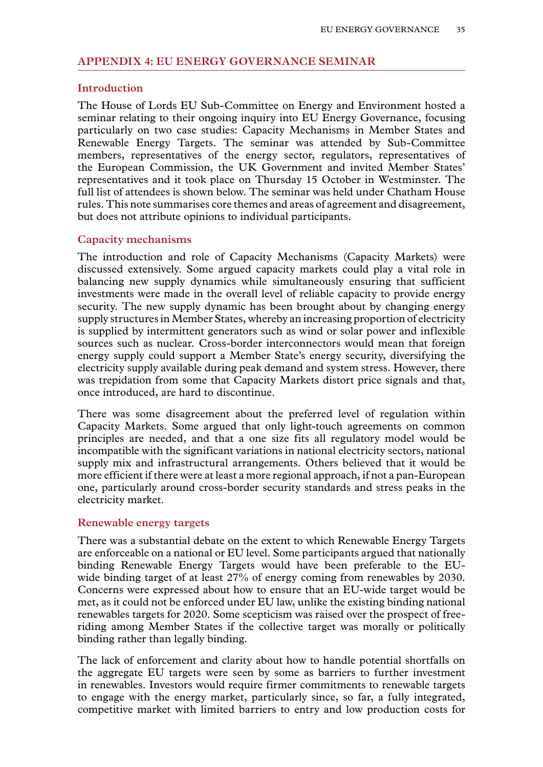#### <span id="page-36-0"></span>**Appendix 4: EU ENERGY GOVERNANCE SEMINAR**

#### **Introduction**

The House of Lords EU Sub-Committee on Energy and Environment hosted a seminar relating to their ongoing inquiry into EU Energy Governance, focusing particularly on two case studies: Capacity Mechanisms in Member States and Renewable Energy Targets. The seminar was attended by Sub-Committee members, representatives of the energy sector, regulators, representatives of the European Commission, the UK Government and invited Member States' representatives and it took place on Thursday 15 October in Westminster. The full list of attendees is shown below. The seminar was held under Chatham House rules. This note summarises core themes and areas of agreement and disagreement, but does not attribute opinions to individual participants.

#### **Capacity mechanisms**

The introduction and role of Capacity Mechanisms (Capacity Markets) were discussed extensively. Some argued capacity markets could play a vital role in balancing new supply dynamics while simultaneously ensuring that sufficient investments were made in the overall level of reliable capacity to provide energy security. The new supply dynamic has been brought about by changing energy supply structures in Member States, whereby an increasing proportion of electricity is supplied by intermittent generators such as wind or solar power and inflexible sources such as nuclear. Cross-border interconnectors would mean that foreign energy supply could support a Member State's energy security, diversifying the electricity supply available during peak demand and system stress. However, there was trepidation from some that Capacity Markets distort price signals and that, once introduced, are hard to discontinue.

There was some disagreement about the preferred level of regulation within Capacity Markets. Some argued that only light-touch agreements on common principles are needed, and that a one size fits all regulatory model would be incompatible with the significant variations in national electricity sectors, national supply mix and infrastructural arrangements. Others believed that it would be more efficient if there were at least a more regional approach, if not a pan-European one, particularly around cross-border security standards and stress peaks in the electricity market.

#### **Renewable energy targets**

There was a substantial debate on the extent to which Renewable Energy Targets are enforceable on a national or EU level. Some participants argued that nationally binding Renewable Energy Targets would have been preferable to the EUwide binding target of at least 27% of energy coming from renewables by 2030. Concerns were expressed about how to ensure that an EU-wide target would be met, as it could not be enforced under EU law, unlike the existing binding national renewables targets for 2020. Some scepticism was raised over the prospect of freeriding among Member States if the collective target was morally or politically binding rather than legally binding.

The lack of enforcement and clarity about how to handle potential shortfalls on the aggregate EU targets were seen by some as barriers to further investment in renewables. Investors would require firmer commitments to renewable targets to engage with the energy market, particularly since, so far, a fully integrated, competitive market with limited barriers to entry and low production costs for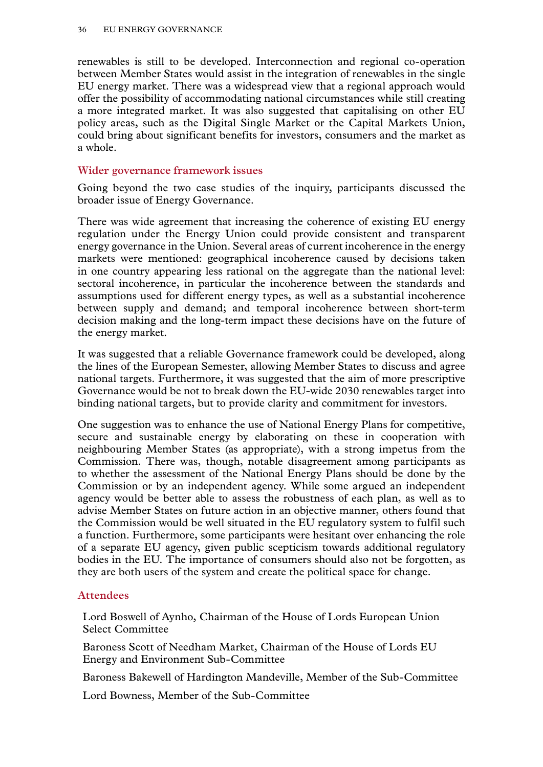renewables is still to be developed. Interconnection and regional co-operation between Member States would assist in the integration of renewables in the single EU energy market. There was a widespread view that a regional approach would offer the possibility of accommodating national circumstances while still creating a more integrated market. It was also suggested that capitalising on other EU policy areas, such as the Digital Single Market or the Capital Markets Union, could bring about significant benefits for investors, consumers and the market as a whole.

#### **Wider governance framework issues**

Going beyond the two case studies of the inquiry, participants discussed the broader issue of Energy Governance.

There was wide agreement that increasing the coherence of existing EU energy regulation under the Energy Union could provide consistent and transparent energy governance in the Union. Several areas of current incoherence in the energy markets were mentioned: geographical incoherence caused by decisions taken in one country appearing less rational on the aggregate than the national level: sectoral incoherence, in particular the incoherence between the standards and assumptions used for different energy types, as well as a substantial incoherence between supply and demand; and temporal incoherence between short-term decision making and the long-term impact these decisions have on the future of the energy market.

It was suggested that a reliable Governance framework could be developed, along the lines of the European Semester, allowing Member States to discuss and agree national targets. Furthermore, it was suggested that the aim of more prescriptive Governance would be not to break down the EU-wide 2030 renewables target into binding national targets, but to provide clarity and commitment for investors.

One suggestion was to enhance the use of National Energy Plans for competitive, secure and sustainable energy by elaborating on these in cooperation with neighbouring Member States (as appropriate), with a strong impetus from the Commission. There was, though, notable disagreement among participants as to whether the assessment of the National Energy Plans should be done by the Commission or by an independent agency. While some argued an independent agency would be better able to assess the robustness of each plan, as well as to advise Member States on future action in an objective manner, others found that the Commission would be well situated in the EU regulatory system to fulfil such a function. Furthermore, some participants were hesitant over enhancing the role of a separate EU agency, given public scepticism towards additional regulatory bodies in the EU. The importance of consumers should also not be forgotten, as they are both users of the system and create the political space for change.

#### **Attendees**

Lord Boswell of Aynho, Chairman of the House of Lords European Union Select Committee

Baroness Scott of Needham Market, Chairman of the House of Lords EU Energy and Environment Sub-Committee

Baroness Bakewell of Hardington Mandeville, Member of the Sub-Committee

Lord Bowness, Member of the Sub-Committee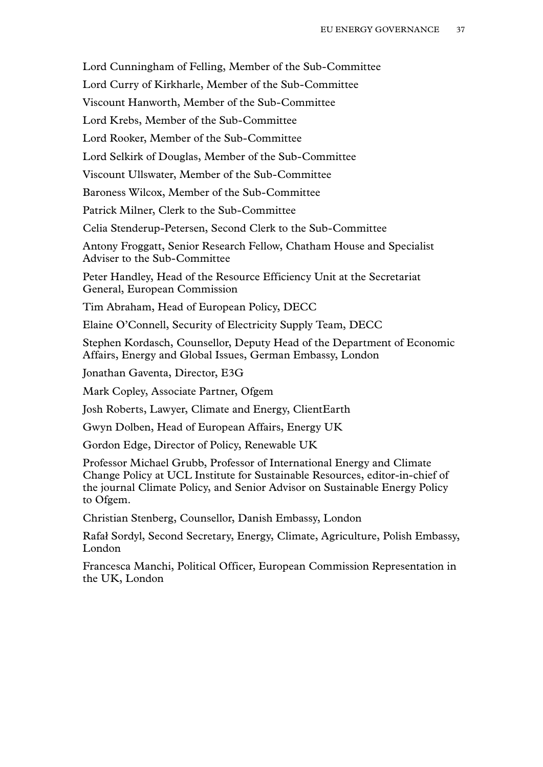Lord Cunningham of Felling, Member of the Sub-Committee

Lord Curry of Kirkharle, Member of the Sub-Committee

Viscount Hanworth, Member of the Sub-Committee

Lord Krebs, Member of the Sub-Committee

Lord Rooker, Member of the Sub-Committee

Lord Selkirk of Douglas, Member of the Sub-Committee

Viscount Ullswater, Member of the Sub-Committee

Baroness Wilcox, Member of the Sub-Committee

Patrick Milner, Clerk to the Sub-Committee

Celia Stenderup-Petersen, Second Clerk to the Sub-Committee

Antony Froggatt, Senior Research Fellow, Chatham House and Specialist Adviser to the Sub-Committee

Peter Handley, Head of the Resource Efficiency Unit at the Secretariat General, European Commission

Tim Abraham, Head of European Policy, DECC

Elaine O'Connell, Security of Electricity Supply Team, DECC

Stephen Kordasch, Counsellor, Deputy Head of the Department of Economic Affairs, Energy and Global Issues, German Embassy, London

Jonathan Gaventa, Director, E3G

Mark Copley, Associate Partner, Ofgem

Josh Roberts, Lawyer, Climate and Energy, ClientEarth

Gwyn Dolben, Head of European Affairs, Energy UK

Gordon Edge, Director of Policy, Renewable UK

Professor Michael Grubb, Professor of International Energy and Climate Change Policy at UCL Institute for Sustainable Resources, editor-in-chief of the journal Climate Policy, and Senior Advisor on Sustainable Energy Policy to Ofgem.

Christian Stenberg, Counsellor, Danish Embassy, London

Rafał Sordyl, Second Secretary, Energy, Climate, Agriculture, Polish Embassy, London

Francesca Manchi, Political Officer, European Commission Representation in the UK, London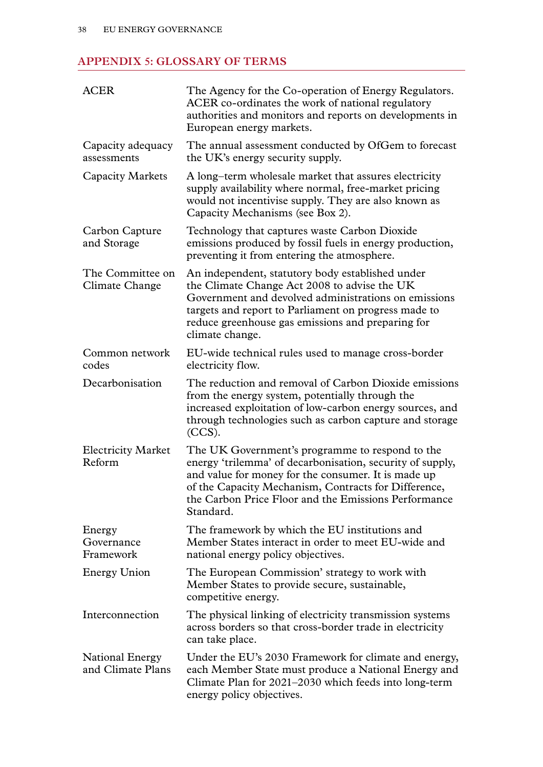# <span id="page-39-0"></span>**Appendix 5: GLOSSARY OF TERMS**

| <b>ACER</b>                                 | The Agency for the Co-operation of Energy Regulators.<br>ACER co-ordinates the work of national regulatory<br>authorities and monitors and reports on developments in<br>European energy markets.                                                                                               |
|---------------------------------------------|-------------------------------------------------------------------------------------------------------------------------------------------------------------------------------------------------------------------------------------------------------------------------------------------------|
| Capacity adequacy<br>assessments            | The annual assessment conducted by OfGem to forecast<br>the UK's energy security supply.                                                                                                                                                                                                        |
| Capacity Markets                            | A long-term wholesale market that assures electricity<br>supply availability where normal, free-market pricing<br>would not incentivise supply. They are also known as<br>Capacity Mechanisms (see Box 2).                                                                                      |
| Carbon Capture<br>and Storage               | Technology that captures waste Carbon Dioxide<br>emissions produced by fossil fuels in energy production,<br>preventing it from entering the atmosphere.                                                                                                                                        |
| The Committee on<br>Climate Change          | An independent, statutory body established under<br>the Climate Change Act 2008 to advise the UK<br>Government and devolved administrations on emissions<br>targets and report to Parliament on progress made to<br>reduce greenhouse gas emissions and preparing for<br>climate change.        |
| Common network<br>codes                     | EU-wide technical rules used to manage cross-border<br>electricity flow.                                                                                                                                                                                                                        |
| Decarbonisation                             | The reduction and removal of Carbon Dioxide emissions<br>from the energy system, potentially through the<br>increased exploitation of low-carbon energy sources, and<br>through technologies such as carbon capture and storage<br>$(CCS)$ .                                                    |
| <b>Electricity Market</b><br>Reform         | The UK Government's programme to respond to the<br>energy 'trilemma' of decarbonisation, security of supply,<br>and value for money for the consumer. It is made up<br>of the Capacity Mechanism, Contracts for Difference<br>the Carbon Price Floor and the Emissions Performance<br>Standard. |
| Energy<br>Governance<br>Framework           | The framework by which the EU institutions and<br>Member States interact in order to meet EU-wide and<br>national energy policy objectives.                                                                                                                                                     |
| <b>Energy Union</b>                         | The European Commission' strategy to work with<br>Member States to provide secure, sustainable,<br>competitive energy.                                                                                                                                                                          |
| Interconnection                             | The physical linking of electricity transmission systems<br>across borders so that cross-border trade in electricity<br>can take place.                                                                                                                                                         |
| <b>National Energy</b><br>and Climate Plans | Under the EU's 2030 Framework for climate and energy,<br>each Member State must produce a National Energy and<br>Climate Plan for 2021–2030 which feeds into long-term<br>energy policy objectives.                                                                                             |